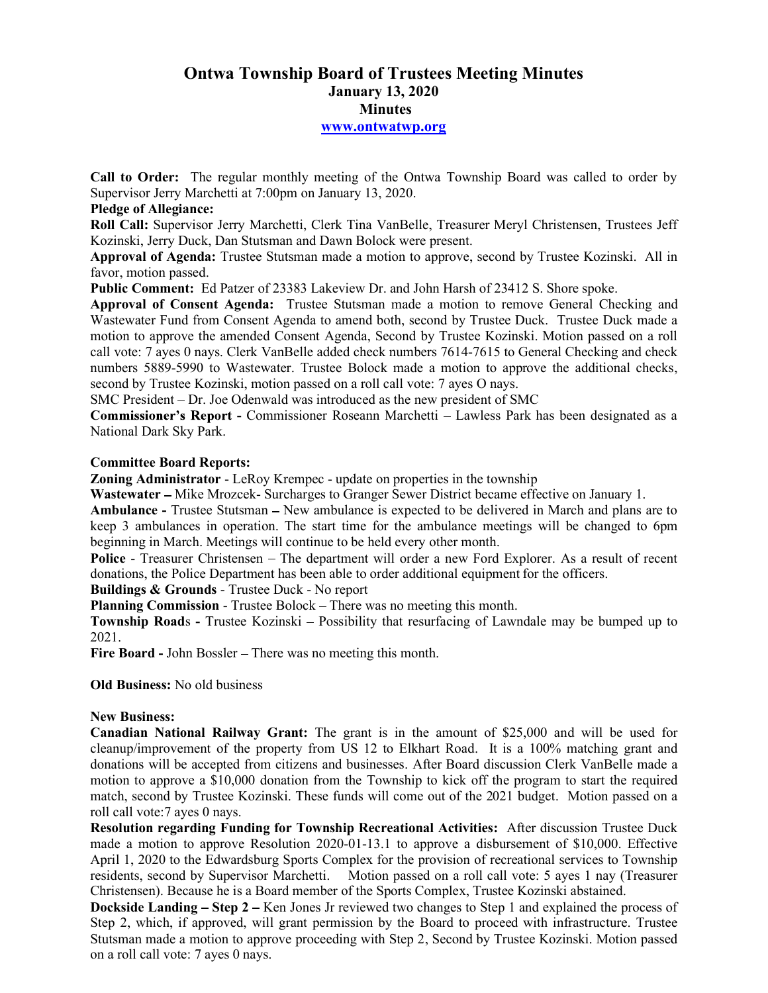# Ontwa Township Board of Trustees Meeting Minutes January 13, 2020 **Minutes** www.ontwatwp.org

Call to Order: The regular monthly meeting of the Ontwa Township Board was called to order by Supervisor Jerry Marchetti at 7:00pm on January 13, 2020.

## Pledge of Allegiance:

Roll Call: Supervisor Jerry Marchetti, Clerk Tina VanBelle, Treasurer Meryl Christensen, Trustees Jeff Kozinski, Jerry Duck, Dan Stutsman and Dawn Bolock were present.

Approval of Agenda: Trustee Stutsman made a motion to approve, second by Trustee Kozinski. All in favor, motion passed.

Public Comment: Ed Patzer of 23383 Lakeview Dr. and John Harsh of 23412 S. Shore spoke.

Approval of Consent Agenda: Trustee Stutsman made a motion to remove General Checking and Wastewater Fund from Consent Agenda to amend both, second by Trustee Duck. Trustee Duck made a motion to approve the amended Consent Agenda, Second by Trustee Kozinski. Motion passed on a roll call vote: 7 ayes 0 nays. Clerk VanBelle added check numbers 7614-7615 to General Checking and check numbers 5889-5990 to Wastewater. Trustee Bolock made a motion to approve the additional checks, second by Trustee Kozinski, motion passed on a roll call vote: 7 ayes O nays.

SMC President - Dr. Joe Odenwald was introduced as the new president of SMC

Commissioner's Report - Commissioner Roseann Marchetti – Lawless Park has been designated as a National Dark Sky Park.

### Committee Board Reports:

Zoning Administrator - LeRoy Krempec - update on properties in the township

Wastewater – Mike Mrozcek- Surcharges to Granger Sewer District became effective on January 1.

Ambulance - Trustee Stutsman - New ambulance is expected to be delivered in March and plans are to keep 3 ambulances in operation. The start time for the ambulance meetings will be changed to 6pm beginning in March. Meetings will continue to be held every other month.

Police - Treasurer Christensen – The department will order a new Ford Explorer. As a result of recent donations, the Police Department has been able to order additional equipment for the officers.

Buildings & Grounds - Trustee Duck - No report

Planning Commission - Trustee Bolock – There was no meeting this month.

Township Roads - Trustee Kozinski – Possibility that resurfacing of Lawndale may be bumped up to 2021.

Fire Board - John Bossler – There was no meeting this month.

Old Business: No old business

### New Business:

Canadian National Railway Grant: The grant is in the amount of \$25,000 and will be used for cleanup/improvement of the property from US 12 to Elkhart Road. It is a 100% matching grant and donations will be accepted from citizens and businesses. After Board discussion Clerk VanBelle made a motion to approve a \$10,000 donation from the Township to kick off the program to start the required match, second by Trustee Kozinski. These funds will come out of the 2021 budget. Motion passed on a roll call vote:7 ayes 0 nays.

Resolution regarding Funding for Township Recreational Activities: After discussion Trustee Duck made a motion to approve Resolution 2020-01-13.1 to approve a disbursement of \$10,000. Effective April 1, 2020 to the Edwardsburg Sports Complex for the provision of recreational services to Township residents, second by Supervisor Marchetti. Motion passed on a roll call vote: 5 ayes 1 nay (Treasurer Motion passed on a roll call vote: 5 ayes 1 nay (Treasurer Christensen). Because he is a Board member of the Sports Complex, Trustee Kozinski abstained.

**Dockside Landing – Step 2** – Ken Jones Jr reviewed two changes to Step 1 and explained the process of Step 2, which, if approved, will grant permission by the Board to proceed with infrastructure. Trustee Stutsman made a motion to approve proceeding with Step 2, Second by Trustee Kozinski. Motion passed on a roll call vote: 7 ayes 0 nays.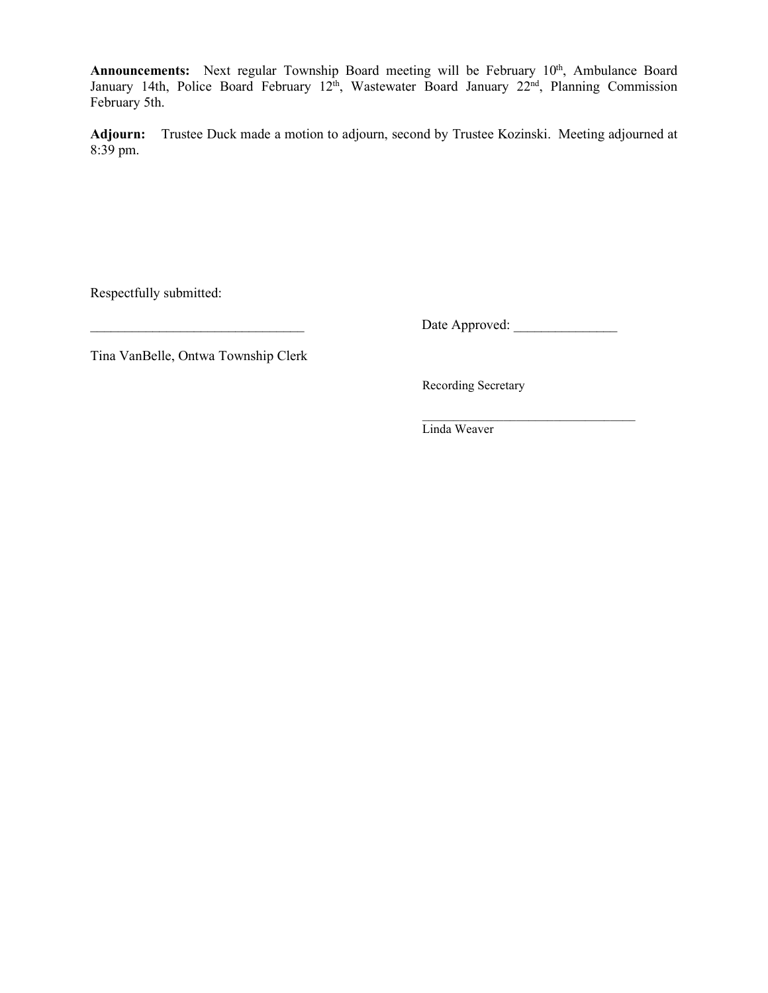Announcements: Next regular Township Board meeting will be February 10<sup>th</sup>, Ambulance Board January 14th, Police Board February 12<sup>th</sup>, Wastewater Board January 22<sup>nd</sup>, Planning Commission February 5th.

Adjourn: Trustee Duck made a motion to adjourn, second by Trustee Kozinski. Meeting adjourned at 8:39 pm.

Respectfully submitted:

\_\_\_\_\_\_\_\_\_\_\_\_\_\_\_\_\_\_\_\_\_\_\_\_\_\_\_\_\_\_\_ Date Approved: \_\_\_\_\_\_\_\_\_\_\_\_\_\_\_

 $\mathcal{L}=\underbrace{\mathcal{L}=\mathcal{L}=\mathcal{L}=\mathcal{L}=\mathcal{L}=\mathcal{L}=\mathcal{L}=\mathcal{L}=\mathcal{L}=\mathcal{L}=\mathcal{L}=\mathcal{L}=\mathcal{L}=\mathcal{L}=\mathcal{L}=\mathcal{L}=\mathcal{L}=\mathcal{L}=\mathcal{L}=\mathcal{L}=\mathcal{L}=\mathcal{L}=\mathcal{L}=\mathcal{L}=\mathcal{L}=\mathcal{L}=\mathcal{L}=\mathcal{L}=\mathcal{L}=\mathcal{L}=\mathcal{L}=\mathcal{L}=\mathcal{L}=\mathcal{L}=\mathcal{L}=\$ 

Tina VanBelle, Ontwa Township Clerk

Recording Secretary

Linda Weaver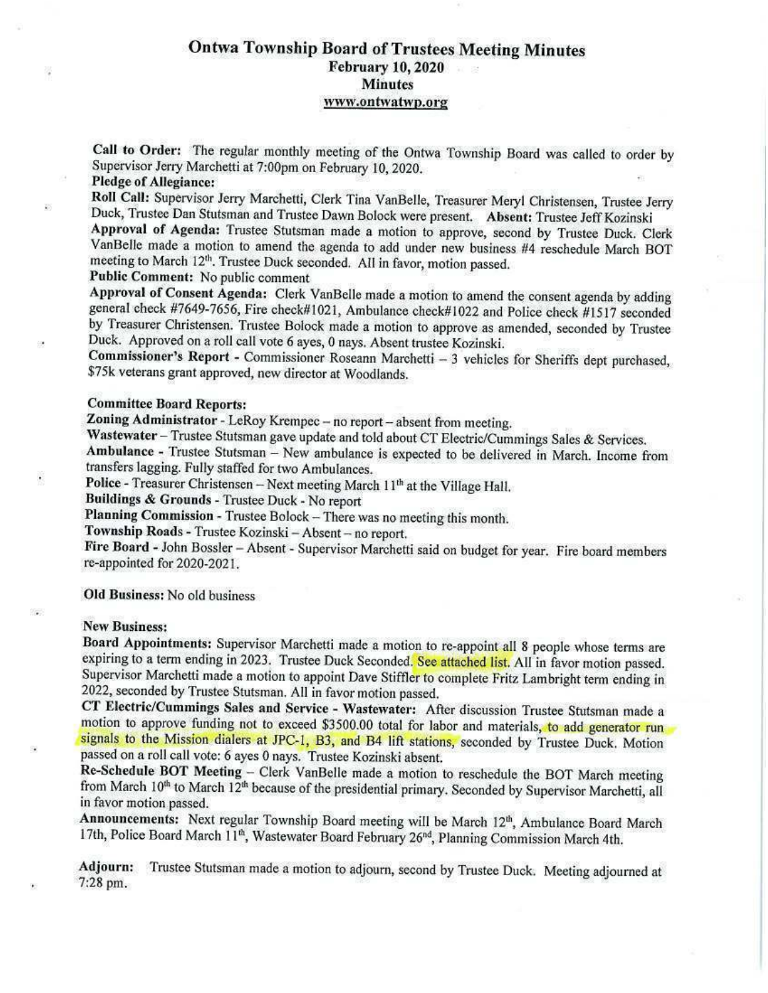# **Ontwa Township Board of Trustees Meeting Minutes February 10, 2020 Minutes** www.ontwatwp.org

Call to Order: The regular monthly meeting of the Ontwa Township Board was called to order by Supervisor Jerry Marchetti at 7:00pm on February 10, 2020.

## **Pledge of Allegiance:**

襟

巡

¥,

Roll Call: Supervisor Jerry Marchetti, Clerk Tina VanBelle, Treasurer Meryl Christensen, Trustee Jerry Duck, Trustee Dan Stutsman and Trustee Dawn Bolock were present. Absent: Trustee Jeff Kozinski

Approval of Agenda: Trustee Stutsman made a motion to approve, second by Trustee Duck. Clerk VanBelle made a motion to amend the agenda to add under new business #4 reschedule March BOT meeting to March 12<sup>th</sup>. Trustee Duck seconded. All in favor, motion passed. Public Comment: No public comment

Approval of Consent Agenda: Clerk VanBelle made a motion to amend the consent agenda by adding

general check #7649-7656, Fire check#1021, Ambulance check#1022 and Police check #1517 seconded by Treasurer Christensen. Trustee Bolock made a motion to approve as amended, seconded by Trustee Duck. Approved on a roll call vote 6 ayes, 0 nays. Absent trustee Kozinski.

Commissioner's Report - Commissioner Roseann Marchetti - 3 vehicles for Sheriffs dept purchased, \$75k veterans grant approved, new director at Woodlands.

#### **Committee Board Reports:**

Zoning Administrator - LeRoy Krempec - no report - absent from meeting.

Wastewater - Trustee Stutsman gave update and told about CT Electric/Cummings Sales & Services.

Ambulance - Trustee Stutsman - New ambulance is expected to be delivered in March. Income from transfers lagging. Fully staffed for two Ambulances.

Police - Treasurer Christensen -- Next meeting March 11<sup>th</sup> at the Village Hall.

Buildings & Grounds - Trustee Duck - No report

Planning Commission - Trustee Bolock - There was no meeting this month.

Township Roads - Trustee Kozinski - Absent - no report.

Fire Board - John Bossler - Absent - Supervisor Marchetti said on budget for year. Fire board members re-appointed for 2020-2021.

Old Business: No old business

#### **New Business:**

Board Appointments: Supervisor Marchetti made a motion to re-appoint all 8 people whose terms are expiring to a term ending in 2023. Trustee Duck Seconded. See attached list. All in favor motion passed. Supervisor Marchetti made a motion to appoint Dave Stiffler to complete Fritz Lambright term ending in 2022, seconded by Trustee Stutsman. All in favor motion passed.

CT Electric/Cummings Sales and Service - Wastewater: After discussion Trustee Stutsman made a motion to approve funding not to exceed \$3500.00 total for labor and materials, to add generator run signals to the Mission dialers at JPC-1, B3, and B4 lift stations, seconded by Trustee Duck. Motion passed on a roll call vote: 6 ayes 0 nays. Trustee Kozinski absent.

Re-Schedule BOT Meeting - Clerk VanBelle made a motion to reschedule the BOT March meeting from March 10<sup>th</sup> to March 12<sup>th</sup> because of the presidential primary. Seconded by Supervisor Marchetti, all in favor motion passed.

Announcements: Next regular Township Board meeting will be March 12th, Ambulance Board March 17th, Police Board March 11<sup>th</sup>, Wastewater Board February 26<sup>nd</sup>, Planning Commission March 4th.

Adjourn: Trustee Stutsman made a motion to adjourn, second by Trustee Duck. Meeting adjourned at 7:28 pm.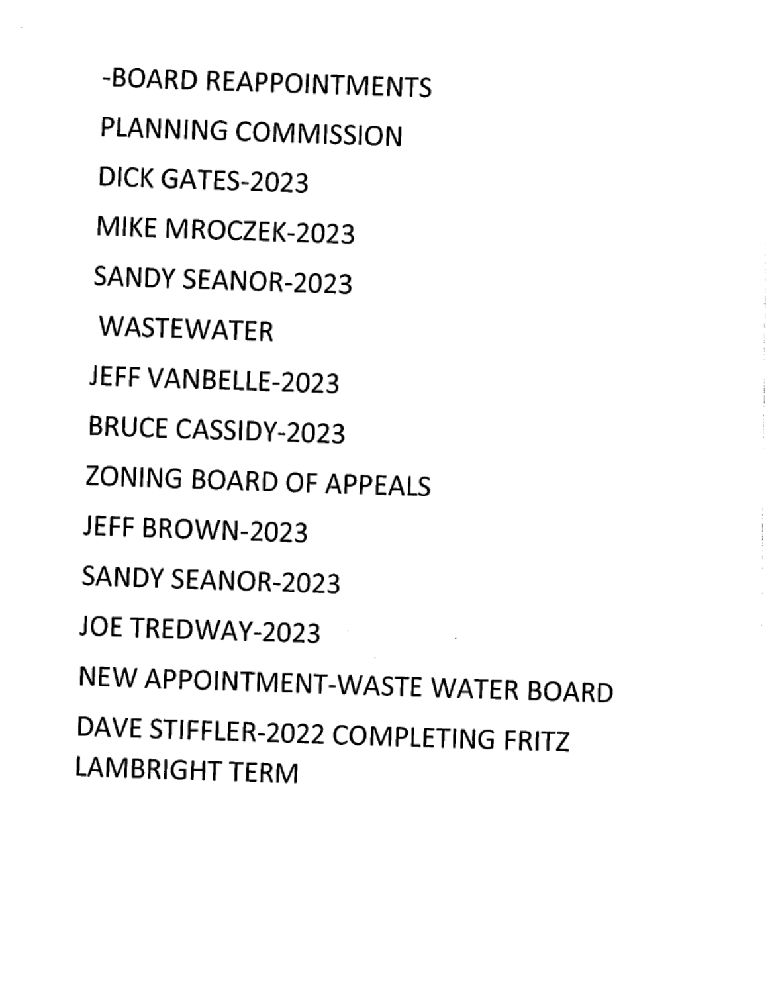-BOARD REAPPOINTMENTS PLANNING COMMISSION DICK GATES-2023 MIKE MROCZEK-2023 SANDY SEANOR-2023 **WASTEWATER** JEFF VANBELLE-2023 **BRUCE CASSIDY-2023** ZONING BOARD OF APPEALS JEFF BROWN-2023 SANDY SEANOR-2023 JOE TREDWAY-2023 NEW APPOINTMENT-WASTE WATER BOARD DAVE STIFFLER-2022 COMPLETING FRITZ **LAMBRIGHT TERM**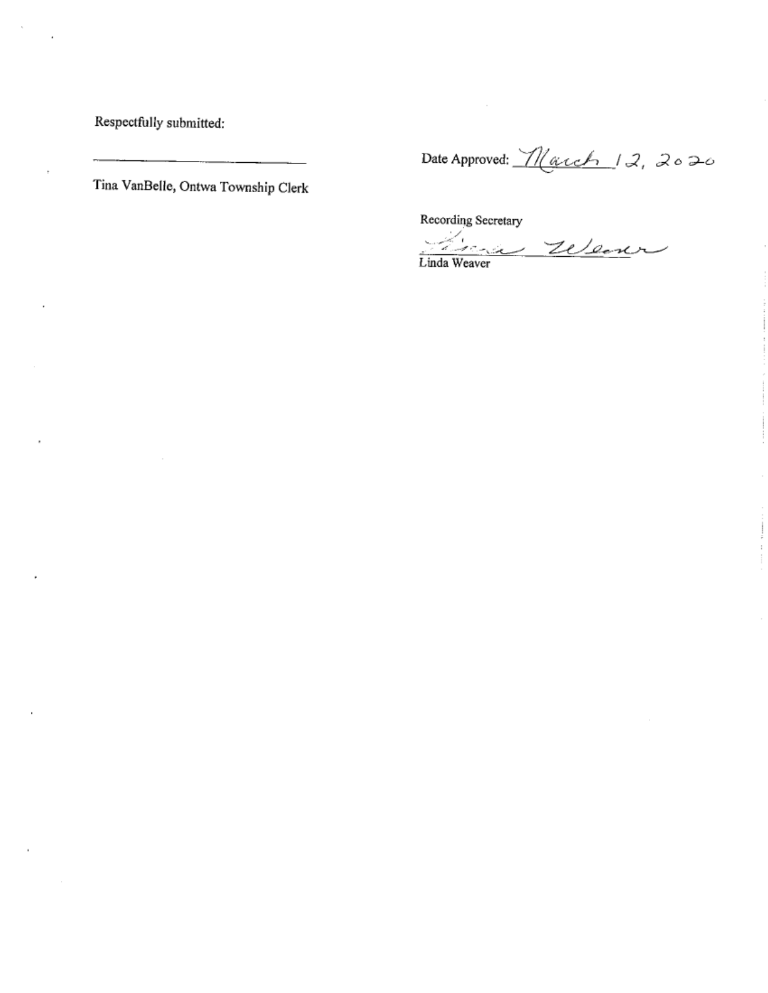Respectfully submitted:

Tina VanBelle, Ontwa Township Clerk

Date Approved: March 12, 2020

Recording Secretary

q. Linda Weaver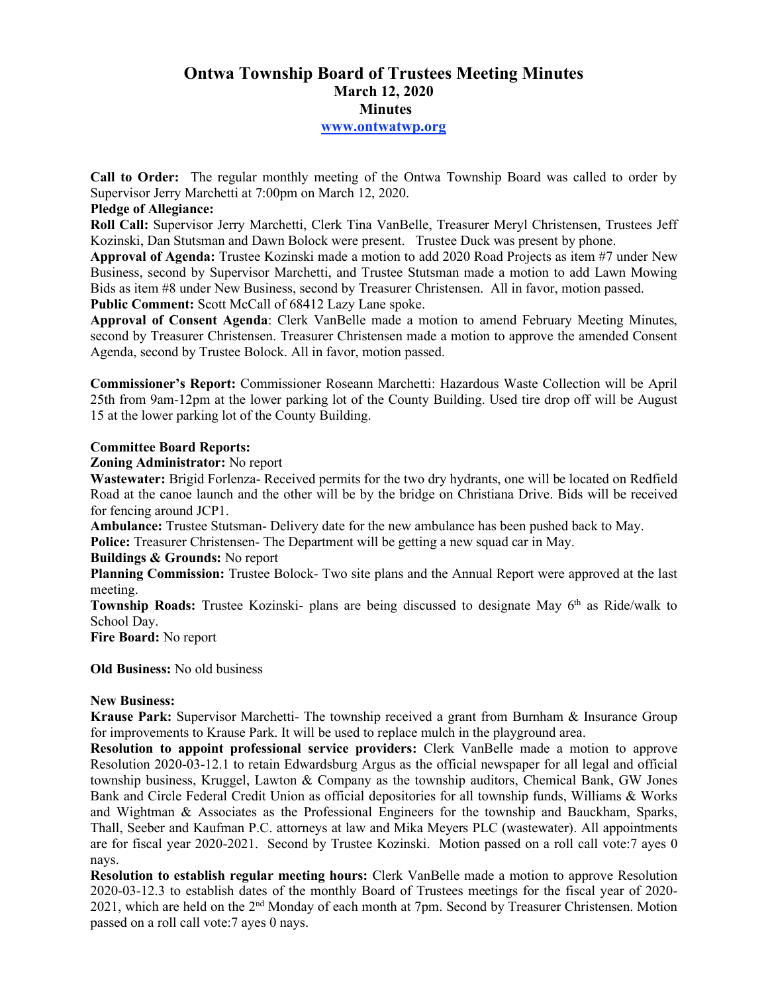# **Ontwa Township Board of Trustees Meeting Minutes March 12, 2020 Minutes www.ontwatwp.org**

**Call to Order:** The regular monthly meeting of the Ontwa Township Board was called to order by Supervisor Jerry Marchetti at 7:00pm on March 12, 2020.

## **Pledge of Allegiance:**

**Roll Call:** Supervisor Jerry Marchetti, Clerk Tina VanBelle, Treasurer Meryl Christensen, Trustees Jeff Kozinski, Dan Stutsman and Dawn Bolock were present. Trustee Duck was present by phone.

**Approval of Agenda:** Trustee Kozinski made a motion to add 2020 Road Projects as item #7 under New Business, second by Supervisor Marchetti, and Trustee Stutsman made a motion to add Lawn Mowing Bids as item #8 under New Business, second by Treasurer Christensen. All in favor, motion passed. **Public Comment:** Scott McCall of 68412 Lazy Lane spoke.

**Approval of Consent Agenda**: Clerk VanBelle made a motion to amend February Meeting Minutes, second by Treasurer Christensen. Treasurer Christensen made a motion to approve the amended Consent Agenda, second by Trustee Bolock. All in favor, motion passed.

**Commissioner's Report:** Commissioner Roseann Marchetti: Hazardous Waste Collection will be April 25th from 9am-12pm at the lower parking lot of the County Building. Used tire drop off will be August 15 at the lower parking lot of the County Building.

### **Committee Board Reports:**

### **Zoning Administrator:** No report

**Wastewater:** Brigid Forlenza- Received permits for the two dry hydrants, one will be located on Redfield Road at the canoe launch and the other will be by the bridge on Christiana Drive. Bids will be received for fencing around JCP1.

**Ambulance:** Trustee Stutsman- Delivery date for the new ambulance has been pushed back to May.

**Police:** Treasurer Christensen- The Department will be getting a new squad car in May.

## **Buildings & Grounds:** No report

**Planning Commission:** Trustee Bolock- Two site plans and the Annual Report were approved at the last meeting.

**Township Roads:** Trustee Kozinski- plans are being discussed to designate May 6<sup>th</sup> as Ride/walk to School Day.

**Fire Board:** No report

**Old Business:** No old business

## **New Business:**

Krause Park: Supervisor Marchetti- The township received a grant from Burnham & Insurance Group for improvements to Krause Park. It will be used to replace mulch in the playground area.

**Resolution to appoint professional service providers:** Clerk VanBelle made a motion to approve Resolution 2020-03-12.1 to retain Edwardsburg Argus as the official newspaper for all legal and official township business, Kruggel, Lawton & Company as the township auditors, Chemical Bank, GW Jones Bank and Circle Federal Credit Union as official depositories for all township funds, Williams & Works and Wightman & Associates as the Professional Engineers for the township and Bauckham, Sparks, Thall, Seeber and Kaufman P.C. attorneys at law and Mika Meyers PLC (wastewater). All appointments are for fiscal year 2020-2021. Second by Trustee Kozinski. Motion passed on a roll call vote:7 ayes 0 nays.

**Resolution to establish regular meeting hours:** Clerk VanBelle made a motion to approve Resolution 2020-03-12.3 to establish dates of the monthly Board of Trustees meetings for the fiscal year of 2020- 2021, which are held on the 2nd Monday of each month at 7pm. Second by Treasurer Christensen. Motion passed on a roll call vote:7 ayes 0 nays.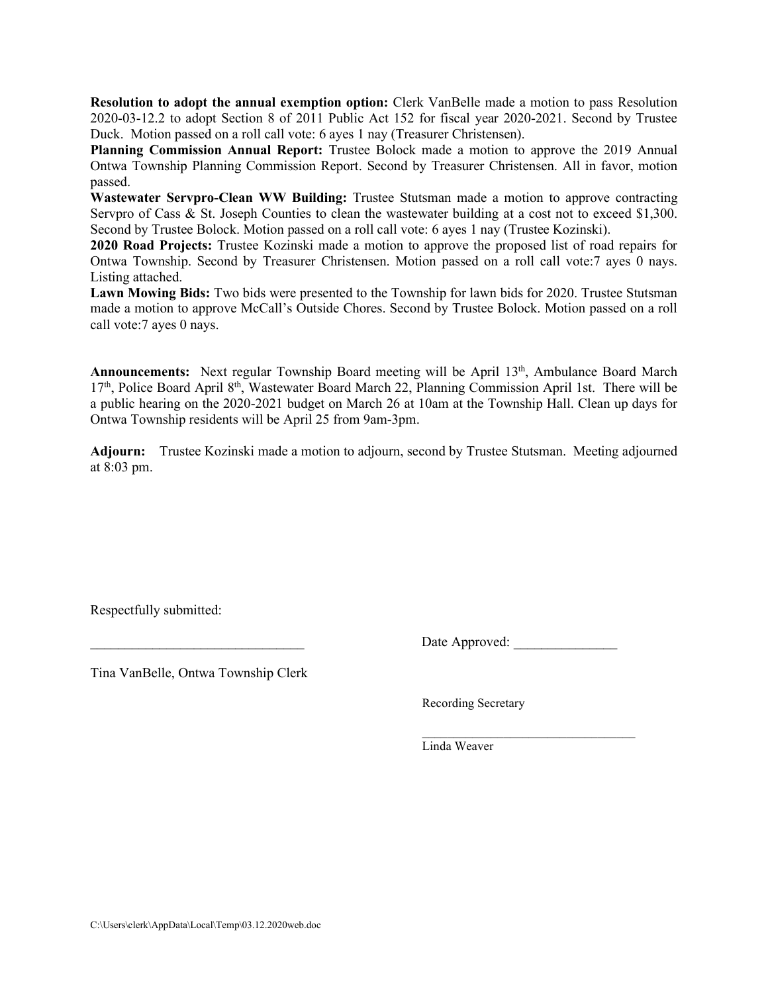**Resolution to adopt the annual exemption option:** Clerk VanBelle made a motion to pass Resolution 2020-03-12.2 to adopt Section 8 of 2011 Public Act 152 for fiscal year 2020-2021. Second by Trustee Duck. Motion passed on a roll call vote: 6 ayes 1 nay (Treasurer Christensen).

**Planning Commission Annual Report:** Trustee Bolock made a motion to approve the 2019 Annual Ontwa Township Planning Commission Report. Second by Treasurer Christensen. All in favor, motion passed.

**Wastewater Servpro-Clean WW Building:** Trustee Stutsman made a motion to approve contracting Servpro of Cass & St. Joseph Counties to clean the wastewater building at a cost not to exceed \$1,300. Second by Trustee Bolock. Motion passed on a roll call vote: 6 ayes 1 nay (Trustee Kozinski).

**2020 Road Projects:** Trustee Kozinski made a motion to approve the proposed list of road repairs for Ontwa Township. Second by Treasurer Christensen. Motion passed on a roll call vote:7 ayes 0 nays. Listing attached.

**Lawn Mowing Bids:** Two bids were presented to the Township for lawn bids for 2020. Trustee Stutsman made a motion to approve McCall's Outside Chores. Second by Trustee Bolock. Motion passed on a roll call vote:7 ayes 0 nays.

Announcements: Next regular Township Board meeting will be April 13<sup>th</sup>, Ambulance Board March  $17<sup>th</sup>$ , Police Board April 8<sup>th</sup>, Wastewater Board March 22, Planning Commission April 1st. There will be a public hearing on the 2020-2021 budget on March 26 at 10am at the Township Hall. Clean up days for Ontwa Township residents will be April 25 from 9am-3pm.

**Adjourn:** Trustee Kozinski made a motion to adjourn, second by Trustee Stutsman. Meeting adjourned at 8:03 pm.

Respectfully submitted:

Date Approved:

Tina VanBelle, Ontwa Township Clerk

Recording Secretary

 $\mathcal{L}_\text{max}$  , and the set of the set of the set of the set of the set of the set of the set of the set of the set of the set of the set of the set of the set of the set of the set of the set of the set of the set of the Linda Weaver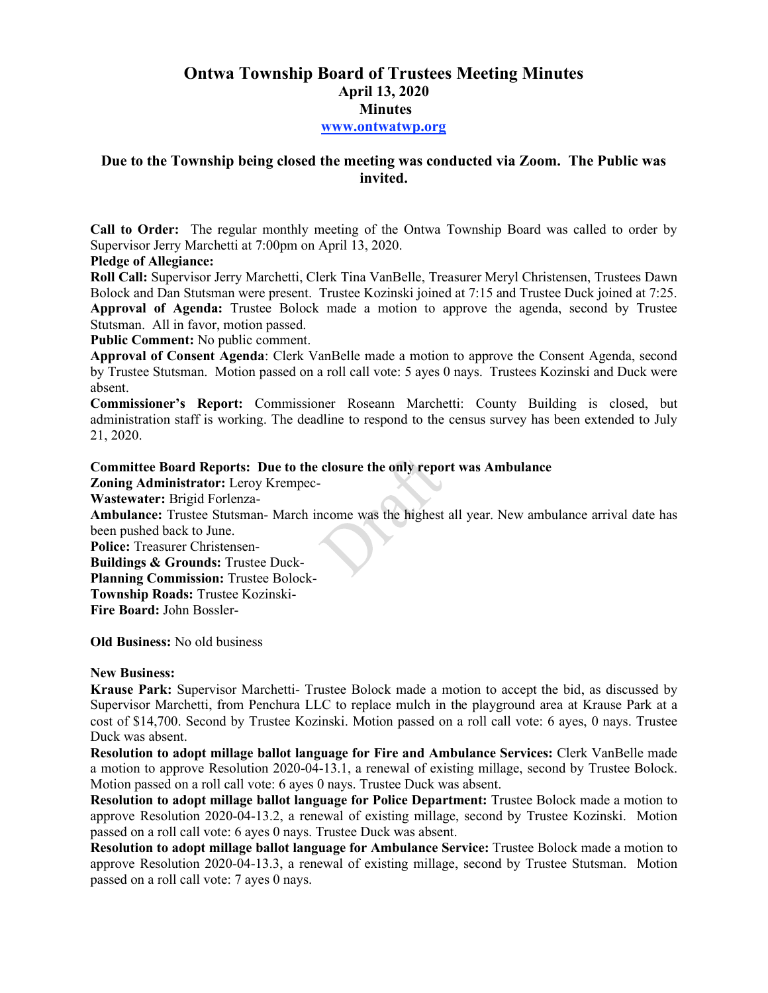# **Ontwa Township Board of Trustees Meeting Minutes April 13, 2020 Minutes www.ontwatwp.org**

# **Due to the Township being closed the meeting was conducted via Zoom. The Public was invited.**

**Call to Order:** The regular monthly meeting of the Ontwa Township Board was called to order by Supervisor Jerry Marchetti at 7:00pm on April 13, 2020.

## **Pledge of Allegiance:**

**Roll Call:** Supervisor Jerry Marchetti, Clerk Tina VanBelle, Treasurer Meryl Christensen, Trustees Dawn Bolock and Dan Stutsman were present. Trustee Kozinski joined at 7:15 and Trustee Duck joined at 7:25. **Approval of Agenda:** Trustee Bolock made a motion to approve the agenda, second by Trustee Stutsman. All in favor, motion passed.

**Public Comment:** No public comment.

**Approval of Consent Agenda**: Clerk VanBelle made a motion to approve the Consent Agenda, second by Trustee Stutsman. Motion passed on a roll call vote: 5 ayes 0 nays. Trustees Kozinski and Duck were absent.

**Commissioner's Report:** Commissioner Roseann Marchetti: County Building is closed, but administration staff is working. The deadline to respond to the census survey has been extended to July 21, 2020.

## **Committee Board Reports: Due to the closure the only report was Ambulance**

**Zoning Administrator:** Leroy Krempec-**Wastewater:** Brigid Forlenza-

**Ambulance:** Trustee Stutsman- March income was the highest all year. New ambulance arrival date has been pushed back to June.

**Police:** Treasurer Christensen-

**Buildings & Grounds:** Trustee Duck-

**Planning Commission:** Trustee Bolock-

**Township Roads:** Trustee Kozinski-

**Fire Board:** John Bossler-

**Old Business:** No old business

## **New Business:**

**Krause Park:** Supervisor Marchetti- Trustee Bolock made a motion to accept the bid, as discussed by Supervisor Marchetti, from Penchura LLC to replace mulch in the playground area at Krause Park at a cost of \$14,700. Second by Trustee Kozinski. Motion passed on a roll call vote: 6 ayes, 0 nays. Trustee Duck was absent.

**Resolution to adopt millage ballot language for Fire and Ambulance Services:** Clerk VanBelle made a motion to approve Resolution 2020-04-13.1, a renewal of existing millage, second by Trustee Bolock. Motion passed on a roll call vote: 6 ayes 0 nays. Trustee Duck was absent.

**Resolution to adopt millage ballot language for Police Department:** Trustee Bolock made a motion to approve Resolution 2020-04-13.2, a renewal of existing millage, second by Trustee Kozinski. Motion passed on a roll call vote: 6 ayes 0 nays. Trustee Duck was absent.

**Resolution to adopt millage ballot language for Ambulance Service:** Trustee Bolock made a motion to approve Resolution 2020-04-13.3, a renewal of existing millage, second by Trustee Stutsman. Motion passed on a roll call vote: 7 ayes 0 nays.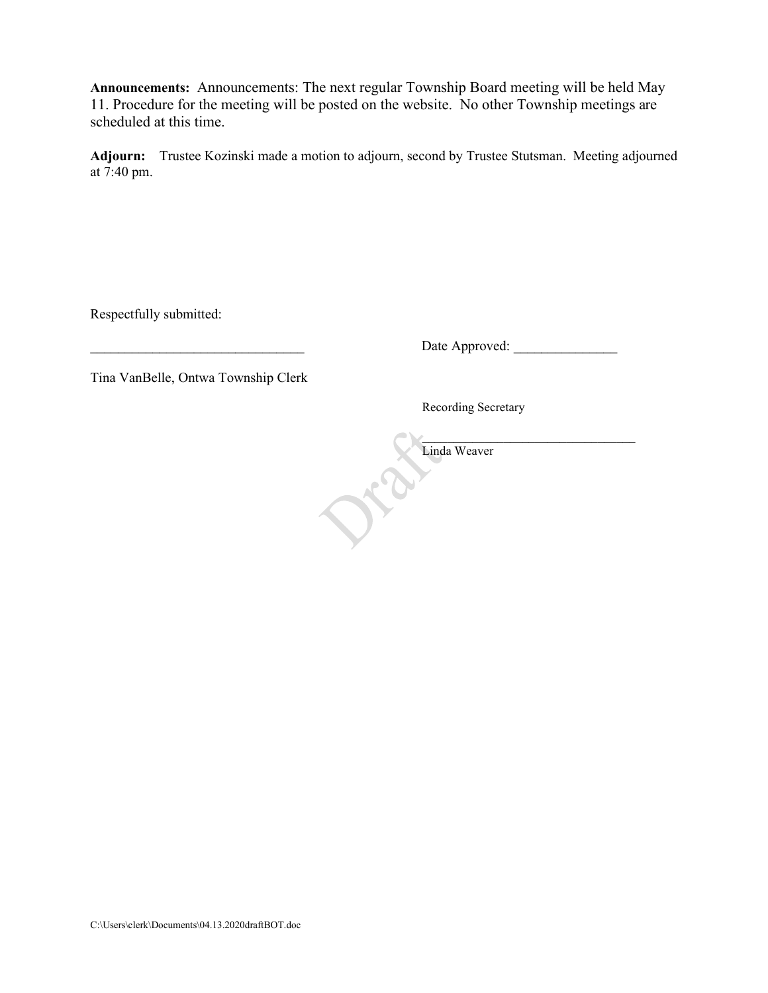**Announcements:** Announcements: The next regular Township Board meeting will be held May 11. Procedure for the meeting will be posted on the website. No other Township meetings are scheduled at this time.

**Adjourn:** Trustee Kozinski made a motion to adjourn, second by Trustee Stutsman. Meeting adjourned at 7:40 pm.

Respectfully submitted:

\_\_\_\_\_\_\_\_\_\_\_\_\_\_\_\_\_\_\_\_\_\_\_\_\_\_\_\_\_\_\_ Date Approved: \_\_\_\_\_\_\_\_\_\_\_\_\_\_\_

Tina VanBelle, Ontwa Township Clerk

Recording Secretary

 $\blacksquare$ Linda Weaver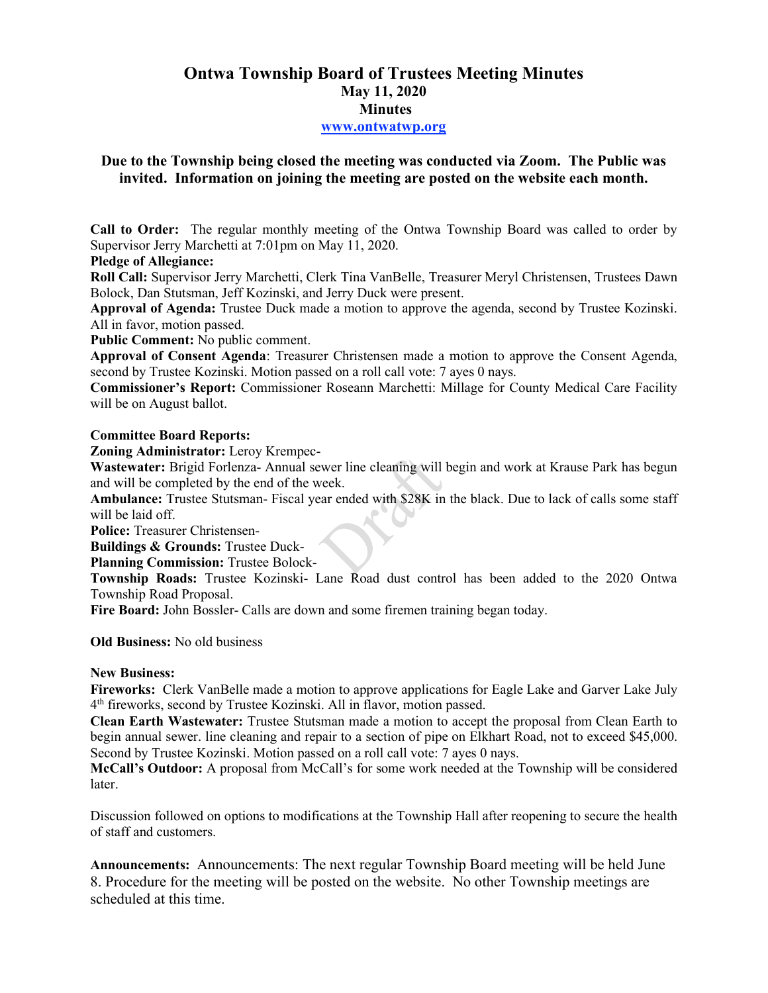# **Ontwa Township Board of Trustees Meeting Minutes May 11, 2020 Minutes www.ontwatwp.org**

# **Due to the Township being closed the meeting was conducted via Zoom. The Public was invited. Information on joining the meeting are posted on the website each month.**

**Call to Order:** The regular monthly meeting of the Ontwa Township Board was called to order by Supervisor Jerry Marchetti at 7:01pm on May 11, 2020.

**Pledge of Allegiance:** 

**Roll Call:** Supervisor Jerry Marchetti, Clerk Tina VanBelle, Treasurer Meryl Christensen, Trustees Dawn Bolock, Dan Stutsman, Jeff Kozinski, and Jerry Duck were present.

**Approval of Agenda:** Trustee Duck made a motion to approve the agenda, second by Trustee Kozinski. All in favor, motion passed.

**Public Comment:** No public comment.

**Approval of Consent Agenda**: Treasurer Christensen made a motion to approve the Consent Agenda, second by Trustee Kozinski. Motion passed on a roll call vote: 7 ayes 0 nays.

**Commissioner's Report:** Commissioner Roseann Marchetti: Millage for County Medical Care Facility will be on August ballot.

### **Committee Board Reports:**

**Zoning Administrator:** Leroy Krempec-

**Wastewater:** Brigid Forlenza- Annual sewer line cleaning will begin and work at Krause Park has begun and will be completed by the end of the week.

**Ambulance:** Trustee Stutsman- Fiscal year ended with \$28K in the black. Due to lack of calls some staff will be laid off.

**Police:** Treasurer Christensen-

**Buildings & Grounds:** Trustee Duck-

**Planning Commission:** Trustee Bolock-

**Township Roads:** Trustee Kozinski- Lane Road dust control has been added to the 2020 Ontwa Township Road Proposal.

**Fire Board:** John Bossler- Calls are down and some firemen training began today.

#### **Old Business:** No old business

#### **New Business:**

**Fireworks:** Clerk VanBelle made a motion to approve applications for Eagle Lake and Garver Lake July 4 th fireworks, second by Trustee Kozinski. All in flavor, motion passed.

**Clean Earth Wastewater:** Trustee Stutsman made a motion to accept the proposal from Clean Earth to begin annual sewer. line cleaning and repair to a section of pipe on Elkhart Road, not to exceed \$45,000. Second by Trustee Kozinski. Motion passed on a roll call vote: 7 ayes 0 nays.

**McCall's Outdoor:** A proposal from McCall's for some work needed at the Township will be considered later.

Discussion followed on options to modifications at the Township Hall after reopening to secure the health of staff and customers.

**Announcements:** Announcements: The next regular Township Board meeting will be held June 8. Procedure for the meeting will be posted on the website. No other Township meetings are scheduled at this time.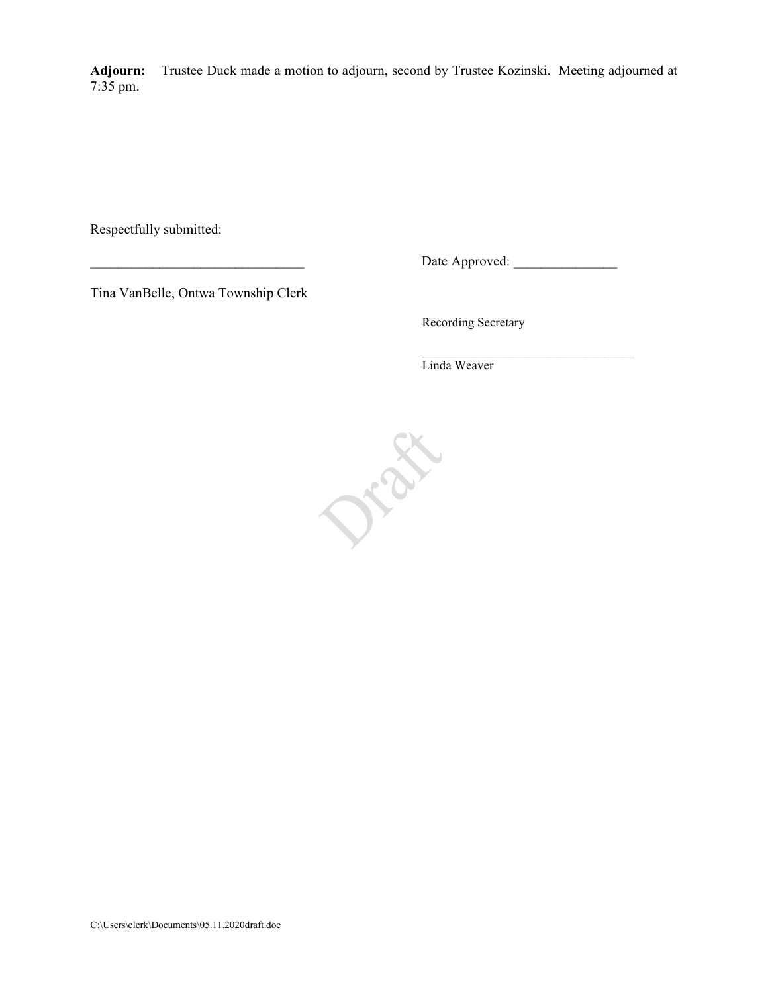**Adjourn:** Trustee Duck made a motion to adjourn, second by Trustee Kozinski. Meeting adjourned at 7:35 pm.

Respectfully submitted:

\_\_\_\_\_\_\_\_\_\_\_\_\_\_\_\_\_\_\_\_\_\_\_\_\_\_\_\_\_\_\_ Date Approved: \_\_\_\_\_\_\_\_\_\_\_\_\_\_\_

Tina VanBelle, Ontwa Township Clerk

Recording Secretary

 $\mathcal{L}=\frac{1}{2} \sum_{i=1}^{n} \frac{1}{2} \sum_{i=1}^{n} \frac{1}{2} \sum_{i=1}^{n} \frac{1}{2} \sum_{i=1}^{n} \frac{1}{2} \sum_{i=1}^{n} \frac{1}{2} \sum_{i=1}^{n} \frac{1}{2} \sum_{i=1}^{n} \frac{1}{2} \sum_{i=1}^{n} \frac{1}{2} \sum_{i=1}^{n} \frac{1}{2} \sum_{i=1}^{n} \frac{1}{2} \sum_{i=1}^{n} \frac{1}{2} \sum_{i=1}^{n} \frac{1}{2} \sum_{$ Linda Weaver

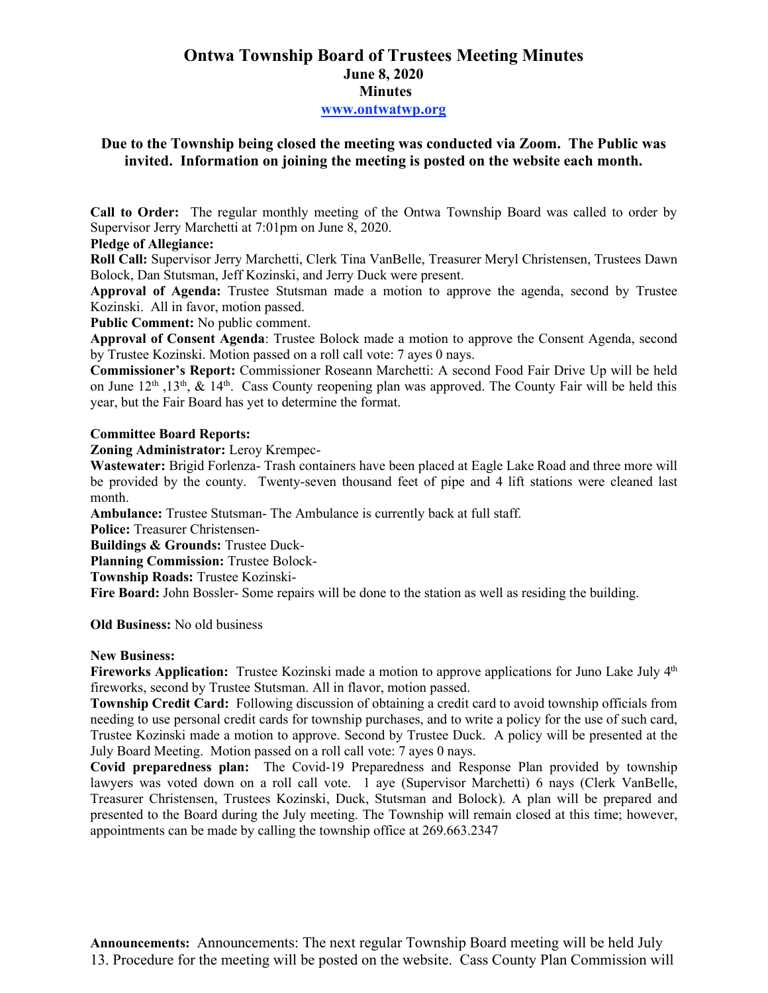# **Ontwa Township Board of Trustees Meeting Minutes June 8, 2020 Minutes www.ontwatwp.org**

## **Due to the Township being closed the meeting was conducted via Zoom. The Public was invited. Information on joining the meeting is posted on the website each month.**

**Call to Order:** The regular monthly meeting of the Ontwa Township Board was called to order by Supervisor Jerry Marchetti at 7:01pm on June 8, 2020.

## **Pledge of Allegiance:**

**Roll Call:** Supervisor Jerry Marchetti, Clerk Tina VanBelle, Treasurer Meryl Christensen, Trustees Dawn Bolock, Dan Stutsman, Jeff Kozinski, and Jerry Duck were present.

**Approval of Agenda:** Trustee Stutsman made a motion to approve the agenda, second by Trustee Kozinski. All in favor, motion passed.

**Public Comment:** No public comment.

**Approval of Consent Agenda**: Trustee Bolock made a motion to approve the Consent Agenda, second by Trustee Kozinski. Motion passed on a roll call vote: 7 ayes 0 nays.

**Commissioner's Report:** Commissioner Roseann Marchetti: A second Food Fair Drive Up will be held on June  $12^{th}$ ,  $13^{th}$ ,  $\&$   $14^{th}$ . Cass County reopening plan was approved. The County Fair will be held this year, but the Fair Board has yet to determine the format.

### **Committee Board Reports:**

**Zoning Administrator:** Leroy Krempec-

**Wastewater:** Brigid Forlenza- Trash containers have been placed at Eagle Lake Road and three more will be provided by the county. Twenty-seven thousand feet of pipe and 4 lift stations were cleaned last month.

**Ambulance:** Trustee Stutsman- The Ambulance is currently back at full staff.

**Police:** Treasurer Christensen-

**Buildings & Grounds:** Trustee Duck-

**Planning Commission:** Trustee Bolock-

**Township Roads:** Trustee Kozinski-

**Fire Board:** John Bossler- Some repairs will be done to the station as well as residing the building.

**Old Business:** No old business

#### **New Business:**

**Fireworks Application:** Trustee Kozinski made a motion to approve applications for Juno Lake July 4<sup>th</sup> fireworks, second by Trustee Stutsman. All in flavor, motion passed.

**Township Credit Card:** Following discussion of obtaining a credit card to avoid township officials from needing to use personal credit cards for township purchases, and to write a policy for the use of such card, Trustee Kozinski made a motion to approve. Second by Trustee Duck. A policy will be presented at the July Board Meeting. Motion passed on a roll call vote: 7 ayes 0 nays.

**Covid preparedness plan:** The Covid-19 Preparedness and Response Plan provided by township lawyers was voted down on a roll call vote. 1 aye (Supervisor Marchetti) 6 nays (Clerk VanBelle, Treasurer Christensen, Trustees Kozinski, Duck, Stutsman and Bolock). A plan will be prepared and presented to the Board during the July meeting. The Township will remain closed at this time; however, appointments can be made by calling the township office at 269.663.2347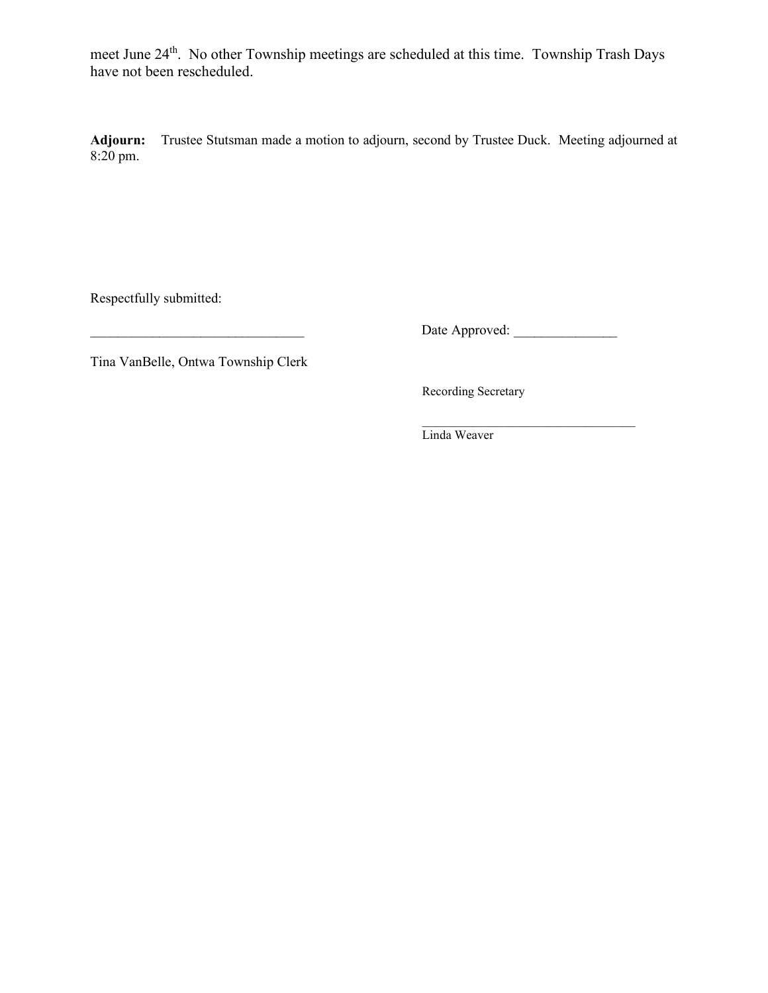meet June 24th. No other Township meetings are scheduled at this time. Township Trash Days have not been rescheduled.

**Adjourn:** Trustee Stutsman made a motion to adjourn, second by Trustee Duck. Meeting adjourned at 8:20 pm.

Respectfully submitted:

\_\_\_\_\_\_\_\_\_\_\_\_\_\_\_\_\_\_\_\_\_\_\_\_\_\_\_\_\_\_\_ Date Approved: \_\_\_\_\_\_\_\_\_\_\_\_\_\_\_

Tina VanBelle, Ontwa Township Clerk

Recording Secretary

 $\mathcal{L}=\underbrace{\mathcal{L}=\mathcal{L}=\mathcal{L}=\mathcal{L}=\mathcal{L}=\mathcal{L}=\mathcal{L}=\mathcal{L}=\mathcal{L}=\mathcal{L}=\mathcal{L}=\mathcal{L}=\mathcal{L}=\mathcal{L}=\mathcal{L}=\mathcal{L}=\mathcal{L}=\mathcal{L}=\mathcal{L}=\mathcal{L}=\mathcal{L}=\mathcal{L}=\mathcal{L}=\mathcal{L}=\mathcal{L}=\mathcal{L}=\mathcal{L}=\mathcal{L}=\mathcal{L}=\mathcal{L}=\mathcal{L}=\mathcal{L}=\mathcal{L}=\mathcal{L}=\mathcal{L}=\$ Linda Weaver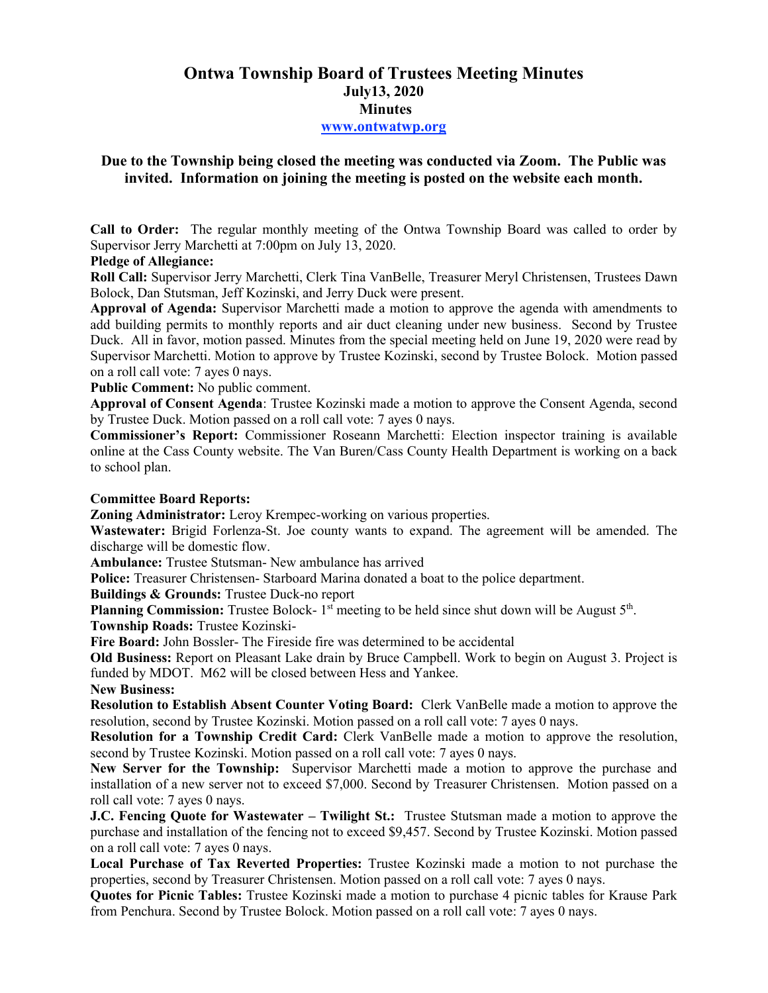# **Ontwa Township Board of Trustees Meeting Minutes July13, 2020 Minutes www.ontwatwp.org**

# **Due to the Township being closed the meeting was conducted via Zoom. The Public was invited. Information on joining the meeting is posted on the website each month.**

**Call to Order:** The regular monthly meeting of the Ontwa Township Board was called to order by Supervisor Jerry Marchetti at 7:00pm on July 13, 2020.

## **Pledge of Allegiance:**

**Roll Call:** Supervisor Jerry Marchetti, Clerk Tina VanBelle, Treasurer Meryl Christensen, Trustees Dawn Bolock, Dan Stutsman, Jeff Kozinski, and Jerry Duck were present.

**Approval of Agenda:** Supervisor Marchetti made a motion to approve the agenda with amendments to add building permits to monthly reports and air duct cleaning under new business. Second by Trustee Duck. All in favor, motion passed. Minutes from the special meeting held on June 19, 2020 were read by Supervisor Marchetti. Motion to approve by Trustee Kozinski, second by Trustee Bolock. Motion passed on a roll call vote: 7 ayes 0 nays.

**Public Comment:** No public comment.

**Approval of Consent Agenda**: Trustee Kozinski made a motion to approve the Consent Agenda, second by Trustee Duck. Motion passed on a roll call vote: 7 ayes 0 nays.

**Commissioner's Report:** Commissioner Roseann Marchetti: Election inspector training is available online at the Cass County website. The Van Buren/Cass County Health Department is working on a back to school plan.

## **Committee Board Reports:**

**Zoning Administrator:** Leroy Krempec-working on various properties.

**Wastewater:** Brigid Forlenza-St. Joe county wants to expand. The agreement will be amended. The discharge will be domestic flow.

**Ambulance:** Trustee Stutsman- New ambulance has arrived

**Police:** Treasurer Christensen- Starboard Marina donated a boat to the police department.

**Buildings & Grounds:** Trustee Duck-no report

Planning Commission: Trustee Bolock- 1<sup>st</sup> meeting to be held since shut down will be August 5<sup>th</sup>. **Township Roads:** Trustee Kozinski-

**Fire Board:** John Bossler- The Fireside fire was determined to be accidental

**Old Business:** Report on Pleasant Lake drain by Bruce Campbell. Work to begin on August 3. Project is funded by MDOT. M62 will be closed between Hess and Yankee.

**New Business:** 

**Resolution to Establish Absent Counter Voting Board:** Clerk VanBelle made a motion to approve the resolution, second by Trustee Kozinski. Motion passed on a roll call vote: 7 ayes 0 nays.

**Resolution for a Township Credit Card:** Clerk VanBelle made a motion to approve the resolution, second by Trustee Kozinski. Motion passed on a roll call vote: 7 ayes 0 nays.

**New Server for the Township:** Supervisor Marchetti made a motion to approve the purchase and installation of a new server not to exceed \$7,000. Second by Treasurer Christensen. Motion passed on a roll call vote: 7 ayes 0 nays.

**J.C. Fencing Quote for Wastewater – Twilight St.:** Trustee Stutsman made a motion to approve the purchase and installation of the fencing not to exceed \$9,457. Second by Trustee Kozinski. Motion passed on a roll call vote: 7 ayes 0 nays.

**Local Purchase of Tax Reverted Properties:** Trustee Kozinski made a motion to not purchase the properties, second by Treasurer Christensen. Motion passed on a roll call vote: 7 ayes 0 nays.

**Quotes for Picnic Tables:** Trustee Kozinski made a motion to purchase 4 picnic tables for Krause Park from Penchura. Second by Trustee Bolock. Motion passed on a roll call vote: 7 ayes 0 nays.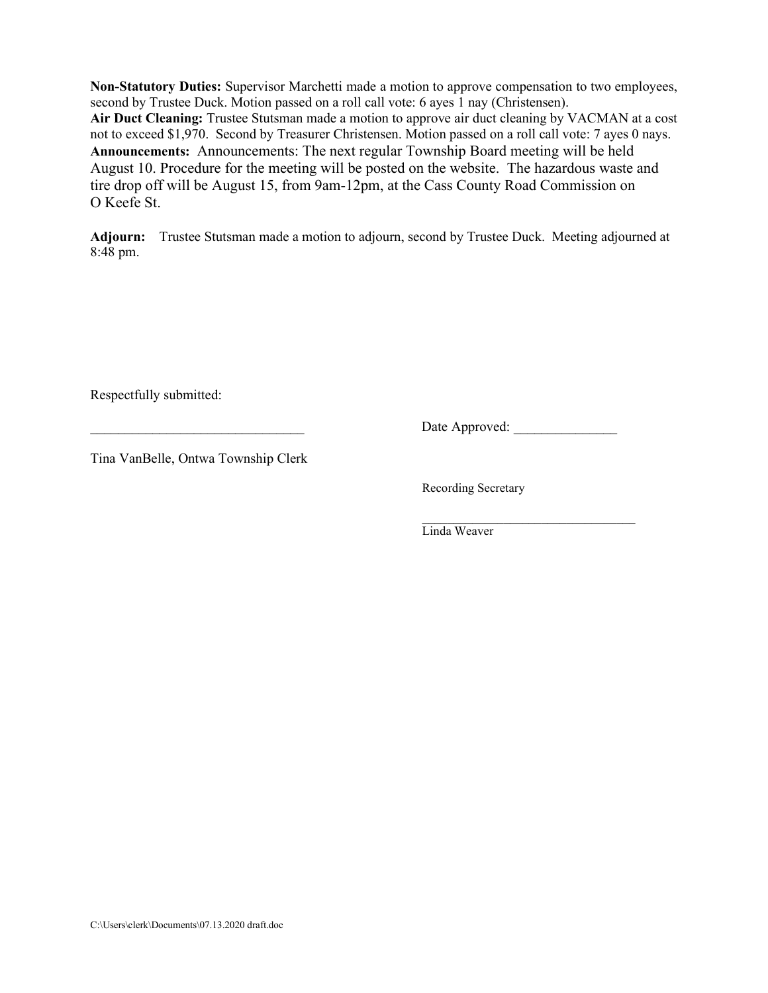**Non-Statutory Duties:** Supervisor Marchetti made a motion to approve compensation to two employees, second by Trustee Duck. Motion passed on a roll call vote: 6 ayes 1 nay (Christensen). **Air Duct Cleaning:** Trustee Stutsman made a motion to approve air duct cleaning by VACMAN at a cost not to exceed \$1,970. Second by Treasurer Christensen. Motion passed on a roll call vote: 7 ayes 0 nays. **Announcements:** Announcements: The next regular Township Board meeting will be held August 10. Procedure for the meeting will be posted on the website. The hazardous waste and tire drop off will be August 15, from 9am-12pm, at the Cass County Road Commission on O Keefe St.

**Adjourn:** Trustee Stutsman made a motion to adjourn, second by Trustee Duck. Meeting adjourned at 8:48 pm.

Respectfully submitted:

\_\_\_\_\_\_\_\_\_\_\_\_\_\_\_\_\_\_\_\_\_\_\_\_\_\_\_\_\_\_\_ Date Approved: \_\_\_\_\_\_\_\_\_\_\_\_\_\_\_

Tina VanBelle, Ontwa Township Clerk

Recording Secretary

 \_\_\_\_\_\_\_\_\_\_\_\_\_\_\_\_\_\_\_\_\_\_\_\_\_\_\_\_\_\_\_\_\_\_ Linda Weaver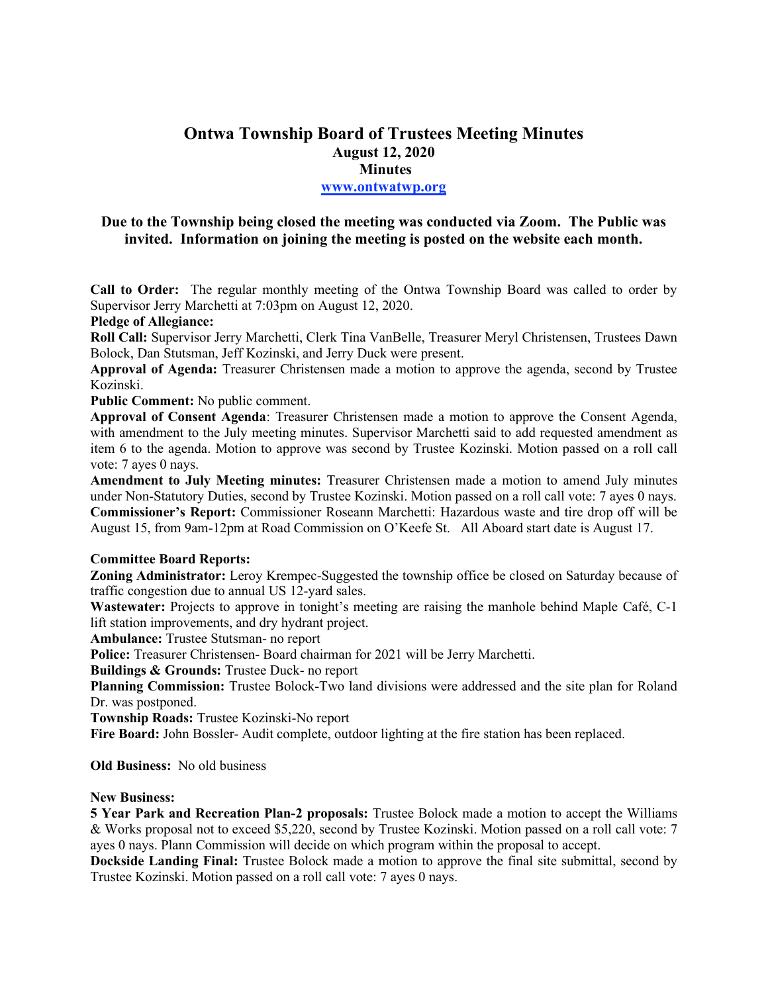# **Ontwa Township Board of Trustees Meeting Minutes August 12, 2020 Minutes www.ontwatwp.org**

## **Due to the Township being closed the meeting was conducted via Zoom. The Public was invited. Information on joining the meeting is posted on the website each month.**

**Call to Order:** The regular monthly meeting of the Ontwa Township Board was called to order by Supervisor Jerry Marchetti at 7:03pm on August 12, 2020.

### **Pledge of Allegiance:**

**Roll Call:** Supervisor Jerry Marchetti, Clerk Tina VanBelle, Treasurer Meryl Christensen, Trustees Dawn Bolock, Dan Stutsman, Jeff Kozinski, and Jerry Duck were present.

**Approval of Agenda:** Treasurer Christensen made a motion to approve the agenda, second by Trustee Kozinski.

### **Public Comment:** No public comment.

**Approval of Consent Agenda**: Treasurer Christensen made a motion to approve the Consent Agenda, with amendment to the July meeting minutes. Supervisor Marchetti said to add requested amendment as item 6 to the agenda. Motion to approve was second by Trustee Kozinski. Motion passed on a roll call vote: 7 ayes 0 nays.

**Amendment to July Meeting minutes:** Treasurer Christensen made a motion to amend July minutes under Non-Statutory Duties, second by Trustee Kozinski. Motion passed on a roll call vote: 7 ayes 0 nays. **Commissioner's Report:** Commissioner Roseann Marchetti: Hazardous waste and tire drop off will be August 15, from 9am-12pm at Road Commission on O'Keefe St. All Aboard start date is August 17.

## **Committee Board Reports:**

**Zoning Administrator:** Leroy Krempec-Suggested the township office be closed on Saturday because of traffic congestion due to annual US 12-yard sales.

**Wastewater:** Projects to approve in tonight's meeting are raising the manhole behind Maple Café, C-1 lift station improvements, and dry hydrant project.

**Ambulance:** Trustee Stutsman- no report

**Police:** Treasurer Christensen- Board chairman for 2021 will be Jerry Marchetti.

**Buildings & Grounds:** Trustee Duck- no report

**Planning Commission:** Trustee Bolock-Two land divisions were addressed and the site plan for Roland Dr. was postponed.

**Township Roads:** Trustee Kozinski-No report

**Fire Board:** John Bossler- Audit complete, outdoor lighting at the fire station has been replaced.

**Old Business:** No old business

#### **New Business:**

**5 Year Park and Recreation Plan-2 proposals:** Trustee Bolock made a motion to accept the Williams & Works proposal not to exceed \$5,220, second by Trustee Kozinski. Motion passed on a roll call vote: 7 ayes 0 nays. Plann Commission will decide on which program within the proposal to accept.

**Dockside Landing Final:** Trustee Bolock made a motion to approve the final site submittal, second by Trustee Kozinski. Motion passed on a roll call vote: 7 ayes 0 nays.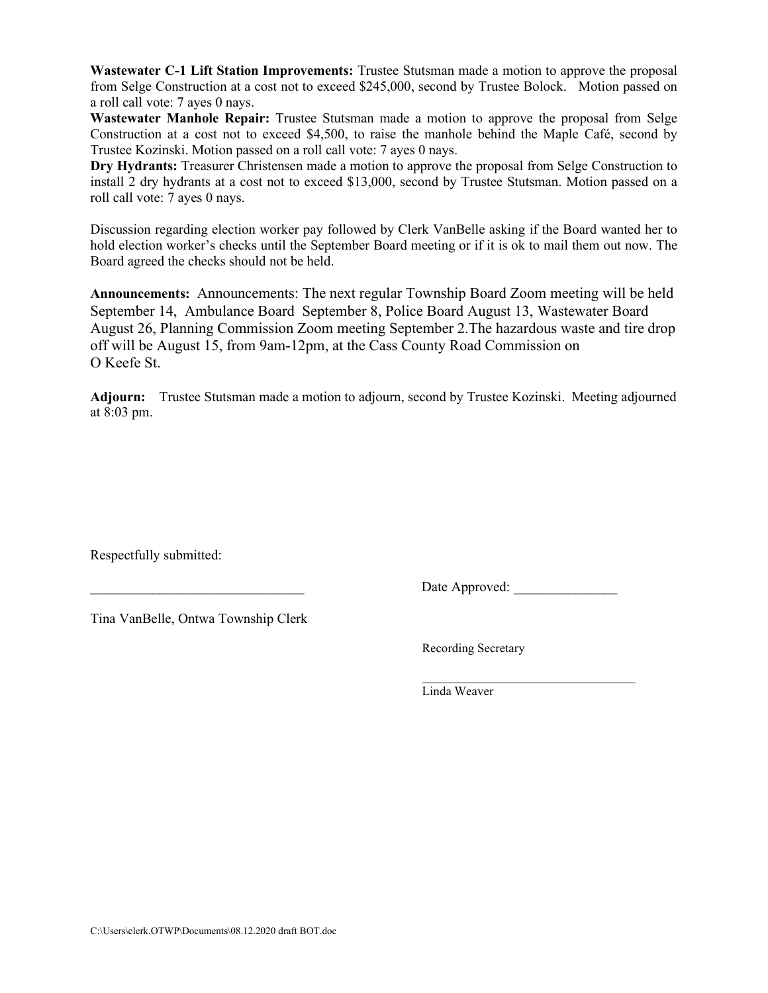**Wastewater C-1 Lift Station Improvements:** Trustee Stutsman made a motion to approve the proposal from Selge Construction at a cost not to exceed \$245,000, second by Trustee Bolock. Motion passed on a roll call vote: 7 ayes 0 nays.

**Wastewater Manhole Repair:** Trustee Stutsman made a motion to approve the proposal from Selge Construction at a cost not to exceed \$4,500, to raise the manhole behind the Maple Café, second by Trustee Kozinski. Motion passed on a roll call vote: 7 ayes 0 nays.

**Dry Hydrants:** Treasurer Christensen made a motion to approve the proposal from Selge Construction to install 2 dry hydrants at a cost not to exceed \$13,000, second by Trustee Stutsman. Motion passed on a roll call vote: 7 ayes 0 nays.

Discussion regarding election worker pay followed by Clerk VanBelle asking if the Board wanted her to hold election worker's checks until the September Board meeting or if it is ok to mail them out now. The Board agreed the checks should not be held.

**Announcements:** Announcements: The next regular Township Board Zoom meeting will be held September 14, Ambulance Board September 8, Police Board August 13, Wastewater Board August 26, Planning Commission Zoom meeting September 2.The hazardous waste and tire drop off will be August 15, from 9am-12pm, at the Cass County Road Commission on O Keefe St.

**Adjourn:** Trustee Stutsman made a motion to adjourn, second by Trustee Kozinski. Meeting adjourned at 8:03 pm.

Respectfully submitted:

Date Approved:

Tina VanBelle, Ontwa Township Clerk

Recording Secretary

 $\mathcal{L}=\underbrace{\mathcal{L}=\mathcal{L}=\mathcal{L}=\mathcal{L}=\mathcal{L}=\mathcal{L}=\mathcal{L}=\mathcal{L}=\mathcal{L}=\mathcal{L}=\mathcal{L}=\mathcal{L}=\mathcal{L}=\mathcal{L}=\mathcal{L}=\mathcal{L}=\mathcal{L}=\mathcal{L}=\mathcal{L}=\mathcal{L}=\mathcal{L}=\mathcal{L}=\mathcal{L}=\mathcal{L}=\mathcal{L}=\mathcal{L}=\mathcal{L}=\mathcal{L}=\mathcal{L}=\mathcal{L}=\mathcal{L}=\mathcal{L}=\mathcal{L}=\mathcal{L}=\mathcal{L}=\$ Linda Weaver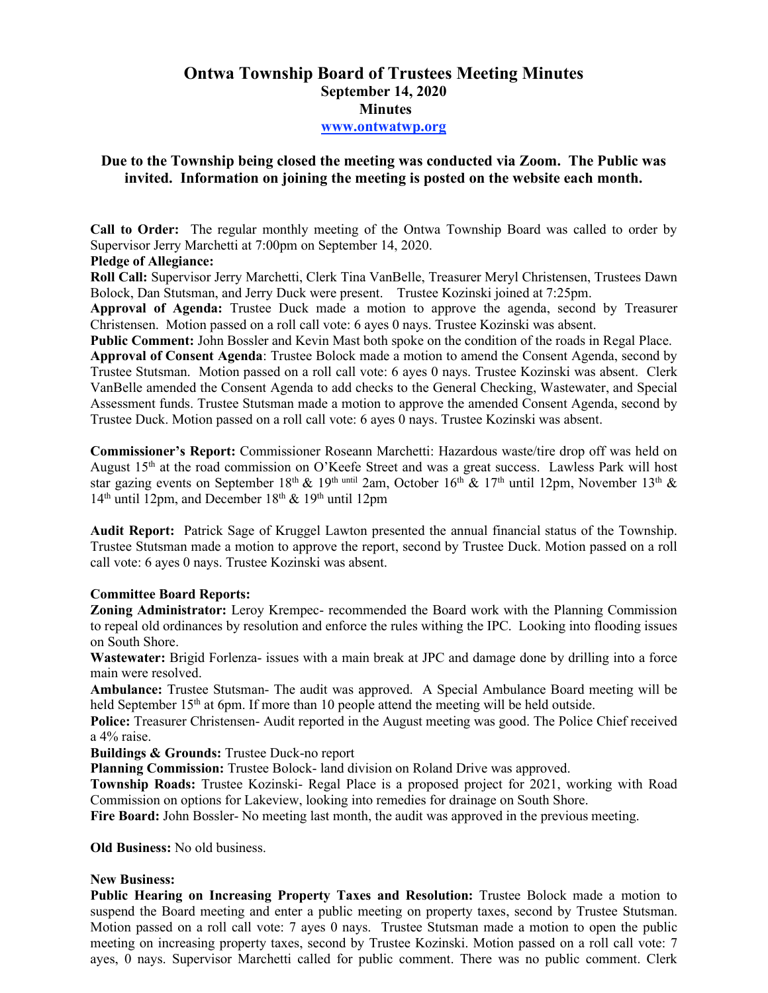# **Ontwa Township Board of Trustees Meeting Minutes September 14, 2020 Minutes www.ontwatwp.org**

# **Due to the Township being closed the meeting was conducted via Zoom. The Public was invited. Information on joining the meeting is posted on the website each month.**

**Call to Order:** The regular monthly meeting of the Ontwa Township Board was called to order by Supervisor Jerry Marchetti at 7:00pm on September 14, 2020.

### **Pledge of Allegiance:**

**Roll Call:** Supervisor Jerry Marchetti, Clerk Tina VanBelle, Treasurer Meryl Christensen, Trustees Dawn Bolock, Dan Stutsman, and Jerry Duck were present. Trustee Kozinski joined at 7:25pm.

**Approval of Agenda:** Trustee Duck made a motion to approve the agenda, second by Treasurer Christensen. Motion passed on a roll call vote: 6 ayes 0 nays. Trustee Kozinski was absent.

**Public Comment:** John Bossler and Kevin Mast both spoke on the condition of the roads in Regal Place.

**Approval of Consent Agenda**: Trustee Bolock made a motion to amend the Consent Agenda, second by Trustee Stutsman. Motion passed on a roll call vote: 6 ayes 0 nays. Trustee Kozinski was absent. Clerk VanBelle amended the Consent Agenda to add checks to the General Checking, Wastewater, and Special Assessment funds. Trustee Stutsman made a motion to approve the amended Consent Agenda, second by Trustee Duck. Motion passed on a roll call vote: 6 ayes 0 nays. Trustee Kozinski was absent.

**Commissioner's Report:** Commissioner Roseann Marchetti: Hazardous waste/tire drop off was held on August 15th at the road commission on O'Keefe Street and was a great success. Lawless Park will host star gazing events on September 18<sup>th</sup> & 19<sup>th until 2am, October 16<sup>th</sup> & 17<sup>th</sup> until 12pm, November 13<sup>th</sup> &</sup>  $14<sup>th</sup>$  until 12pm, and December  $18<sup>th</sup>$  & 19<sup>th</sup> until 12pm

**Audit Report:** Patrick Sage of Kruggel Lawton presented the annual financial status of the Township. Trustee Stutsman made a motion to approve the report, second by Trustee Duck. Motion passed on a roll call vote: 6 ayes 0 nays. Trustee Kozinski was absent.

## **Committee Board Reports:**

**Zoning Administrator:** Leroy Krempec- recommended the Board work with the Planning Commission to repeal old ordinances by resolution and enforce the rules withing the IPC. Looking into flooding issues on South Shore.

**Wastewater:** Brigid Forlenza- issues with a main break at JPC and damage done by drilling into a force main were resolved.

**Ambulance:** Trustee Stutsman- The audit was approved. A Special Ambulance Board meeting will be held September 15<sup>th</sup> at 6pm. If more than 10 people attend the meeting will be held outside.

Police: Treasurer Christensen- Audit reported in the August meeting was good. The Police Chief received a 4% raise.

**Buildings & Grounds:** Trustee Duck-no report

**Planning Commission:** Trustee Bolock- land division on Roland Drive was approved.

**Township Roads:** Trustee Kozinski- Regal Place is a proposed project for 2021, working with Road Commission on options for Lakeview, looking into remedies for drainage on South Shore.

**Fire Board:** John Bossler- No meeting last month, the audit was approved in the previous meeting.

**Old Business:** No old business.

## **New Business:**

**Public Hearing on Increasing Property Taxes and Resolution:** Trustee Bolock made a motion to suspend the Board meeting and enter a public meeting on property taxes, second by Trustee Stutsman. Motion passed on a roll call vote: 7 ayes 0 nays. Trustee Stutsman made a motion to open the public meeting on increasing property taxes, second by Trustee Kozinski. Motion passed on a roll call vote: 7 ayes, 0 nays. Supervisor Marchetti called for public comment. There was no public comment. Clerk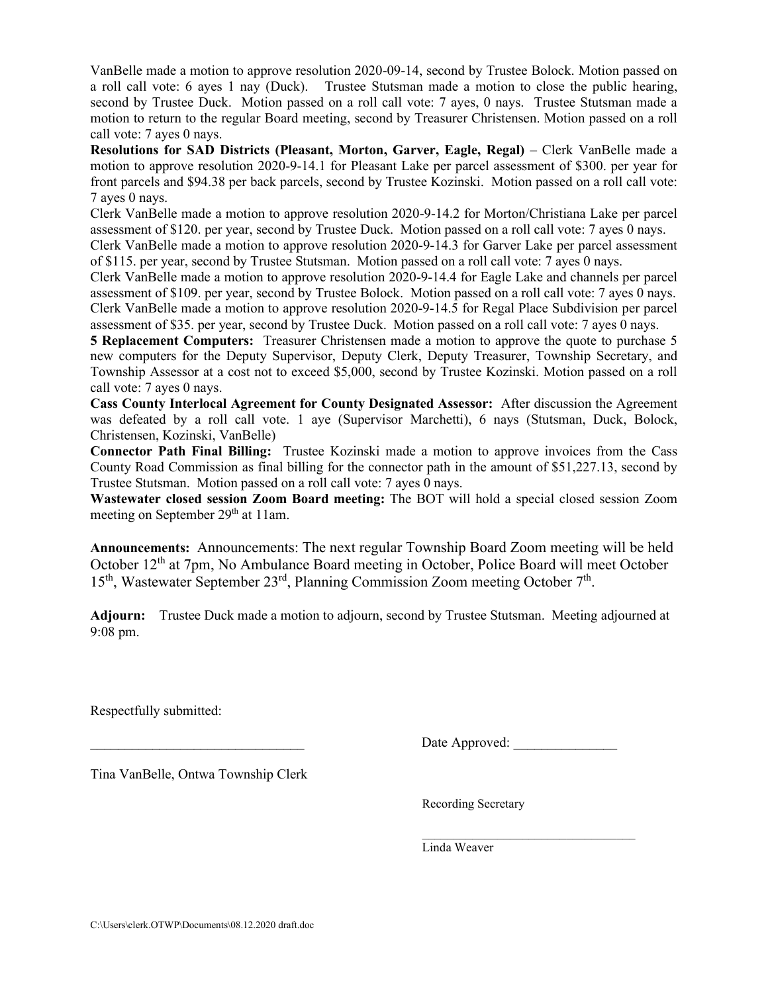VanBelle made a motion to approve resolution 2020-09-14, second by Trustee Bolock. Motion passed on a roll call vote: 6 ayes 1 nay (Duck). Trustee Stutsman made a motion to close the public hearing, second by Trustee Duck. Motion passed on a roll call vote: 7 ayes, 0 nays. Trustee Stutsman made a motion to return to the regular Board meeting, second by Treasurer Christensen. Motion passed on a roll call vote: 7 ayes 0 nays.

**Resolutions for SAD Districts (Pleasant, Morton, Garver, Eagle, Regal)** – Clerk VanBelle made a motion to approve resolution 2020-9-14.1 for Pleasant Lake per parcel assessment of \$300. per year for front parcels and \$94.38 per back parcels, second by Trustee Kozinski. Motion passed on a roll call vote: 7 ayes 0 nays.

Clerk VanBelle made a motion to approve resolution 2020-9-14.2 for Morton/Christiana Lake per parcel assessment of \$120. per year, second by Trustee Duck. Motion passed on a roll call vote: 7 ayes 0 nays.

Clerk VanBelle made a motion to approve resolution 2020-9-14.3 for Garver Lake per parcel assessment of \$115. per year, second by Trustee Stutsman. Motion passed on a roll call vote: 7 ayes 0 nays.

Clerk VanBelle made a motion to approve resolution 2020-9-14.4 for Eagle Lake and channels per parcel assessment of \$109. per year, second by Trustee Bolock. Motion passed on a roll call vote: 7 ayes 0 nays. Clerk VanBelle made a motion to approve resolution 2020-9-14.5 for Regal Place Subdivision per parcel assessment of \$35. per year, second by Trustee Duck. Motion passed on a roll call vote: 7 ayes 0 nays.

**5 Replacement Computers:** Treasurer Christensen made a motion to approve the quote to purchase 5 new computers for the Deputy Supervisor, Deputy Clerk, Deputy Treasurer, Township Secretary, and Township Assessor at a cost not to exceed \$5,000, second by Trustee Kozinski. Motion passed on a roll call vote: 7 ayes 0 nays.

**Cass County Interlocal Agreement for County Designated Assessor:** After discussion the Agreement was defeated by a roll call vote. 1 aye (Supervisor Marchetti), 6 nays (Stutsman, Duck, Bolock, Christensen, Kozinski, VanBelle)

**Connector Path Final Billing:** Trustee Kozinski made a motion to approve invoices from the Cass County Road Commission as final billing for the connector path in the amount of \$51,227.13, second by Trustee Stutsman. Motion passed on a roll call vote: 7 ayes 0 nays.

**Wastewater closed session Zoom Board meeting:** The BOT will hold a special closed session Zoom meeting on September 29<sup>th</sup> at 11am.

**Announcements:** Announcements: The next regular Township Board Zoom meeting will be held October 12<sup>th</sup> at 7pm, No Ambulance Board meeting in October, Police Board will meet October 15<sup>th</sup>, Wastewater September 23<sup>rd</sup>, Planning Commission Zoom meeting October 7<sup>th</sup>.

**Adjourn:** Trustee Duck made a motion to adjourn, second by Trustee Stutsman. Meeting adjourned at 9:08 pm.

Respectfully submitted:

Date Approved:

Tina VanBelle, Ontwa Township Clerk

Recording Secretary

 $\mathcal{L}_\text{max}$  , and the set of the set of the set of the set of the set of the set of the set of the set of the set of the set of the set of the set of the set of the set of the set of the set of the set of the set of the Linda Weaver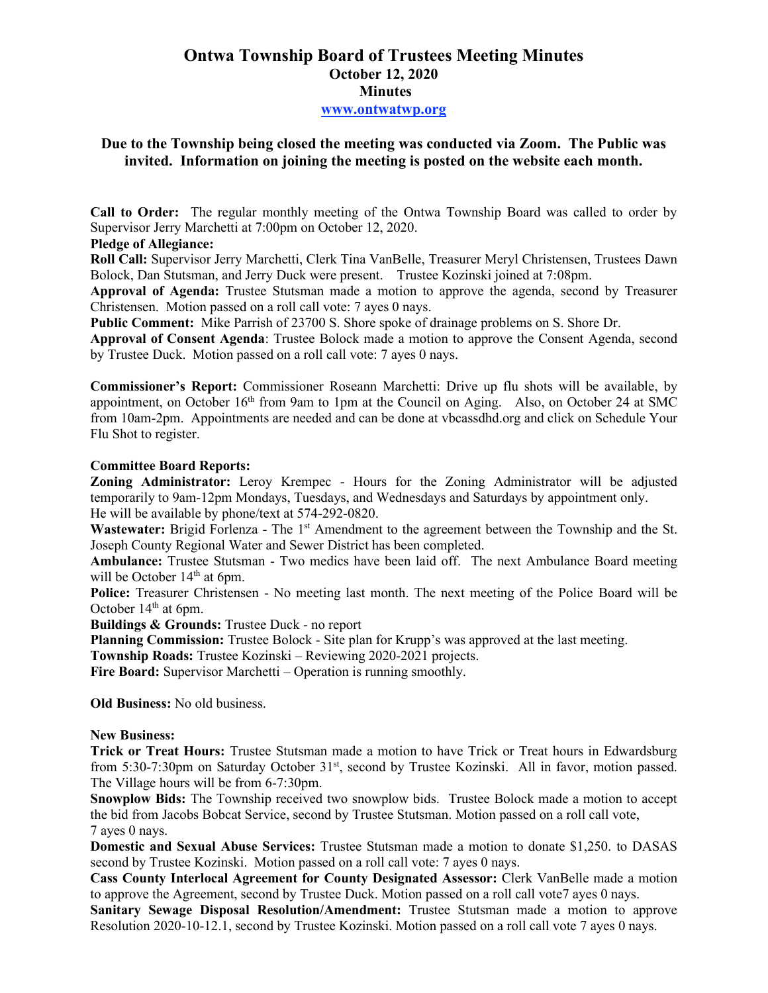# **Ontwa Township Board of Trustees Meeting Minutes October 12, 2020 Minutes www.ontwatwp.org**

## **Due to the Township being closed the meeting was conducted via Zoom. The Public was invited. Information on joining the meeting is posted on the website each month.**

**Call to Order:** The regular monthly meeting of the Ontwa Township Board was called to order by Supervisor Jerry Marchetti at 7:00pm on October 12, 2020.

## **Pledge of Allegiance:**

**Roll Call:** Supervisor Jerry Marchetti, Clerk Tina VanBelle, Treasurer Meryl Christensen, Trustees Dawn Bolock, Dan Stutsman, and Jerry Duck were present. Trustee Kozinski joined at 7:08pm.

**Approval of Agenda:** Trustee Stutsman made a motion to approve the agenda, second by Treasurer Christensen. Motion passed on a roll call vote: 7 ayes 0 nays.

**Public Comment:** Mike Parrish of 23700 S. Shore spoke of drainage problems on S. Shore Dr.

**Approval of Consent Agenda**: Trustee Bolock made a motion to approve the Consent Agenda, second by Trustee Duck. Motion passed on a roll call vote: 7 ayes 0 nays.

**Commissioner's Report:** Commissioner Roseann Marchetti: Drive up flu shots will be available, by appointment, on October 16<sup>th</sup> from 9am to 1pm at the Council on Aging. Also, on October 24 at SMC from 10am-2pm. Appointments are needed and can be done at vbcassdhd.org and click on Schedule Your Flu Shot to register.

### **Committee Board Reports:**

**Zoning Administrator:** Leroy Krempec - Hours for the Zoning Administrator will be adjusted temporarily to 9am-12pm Mondays, Tuesdays, and Wednesdays and Saturdays by appointment only. He will be available by phone/text at 574-292-0820.

Wastewater: Brigid Forlenza - The 1<sup>st</sup> Amendment to the agreement between the Township and the St. Joseph County Regional Water and Sewer District has been completed.

**Ambulance:** Trustee Stutsman - Two medics have been laid off. The next Ambulance Board meeting will be October 14<sup>th</sup> at 6pm.

**Police:** Treasurer Christensen - No meeting last month. The next meeting of the Police Board will be October 14<sup>th</sup> at 6pm.

**Buildings & Grounds:** Trustee Duck - no report

**Planning Commission:** Trustee Bolock - Site plan for Krupp's was approved at the last meeting.

**Township Roads:** Trustee Kozinski – Reviewing 2020-2021 projects.

**Fire Board:** Supervisor Marchetti – Operation is running smoothly.

**Old Business:** No old business.

#### **New Business:**

**Trick or Treat Hours:** Trustee Stutsman made a motion to have Trick or Treat hours in Edwardsburg from 5:30-7:30pm on Saturday October 31<sup>st</sup>, second by Trustee Kozinski. All in favor, motion passed. The Village hours will be from 6-7:30pm.

**Snowplow Bids:** The Township received two snowplow bids. Trustee Bolock made a motion to accept the bid from Jacobs Bobcat Service, second by Trustee Stutsman. Motion passed on a roll call vote, 7 ayes 0 nays.

**Domestic and Sexual Abuse Services:** Trustee Stutsman made a motion to donate \$1,250. to DASAS second by Trustee Kozinski. Motion passed on a roll call vote: 7 ayes 0 nays.

**Cass County Interlocal Agreement for County Designated Assessor:** Clerk VanBelle made a motion to approve the Agreement, second by Trustee Duck. Motion passed on a roll call vote7 ayes 0 nays.

**Sanitary Sewage Disposal Resolution/Amendment:** Trustee Stutsman made a motion to approve Resolution 2020-10-12.1, second by Trustee Kozinski. Motion passed on a roll call vote 7 ayes 0 nays.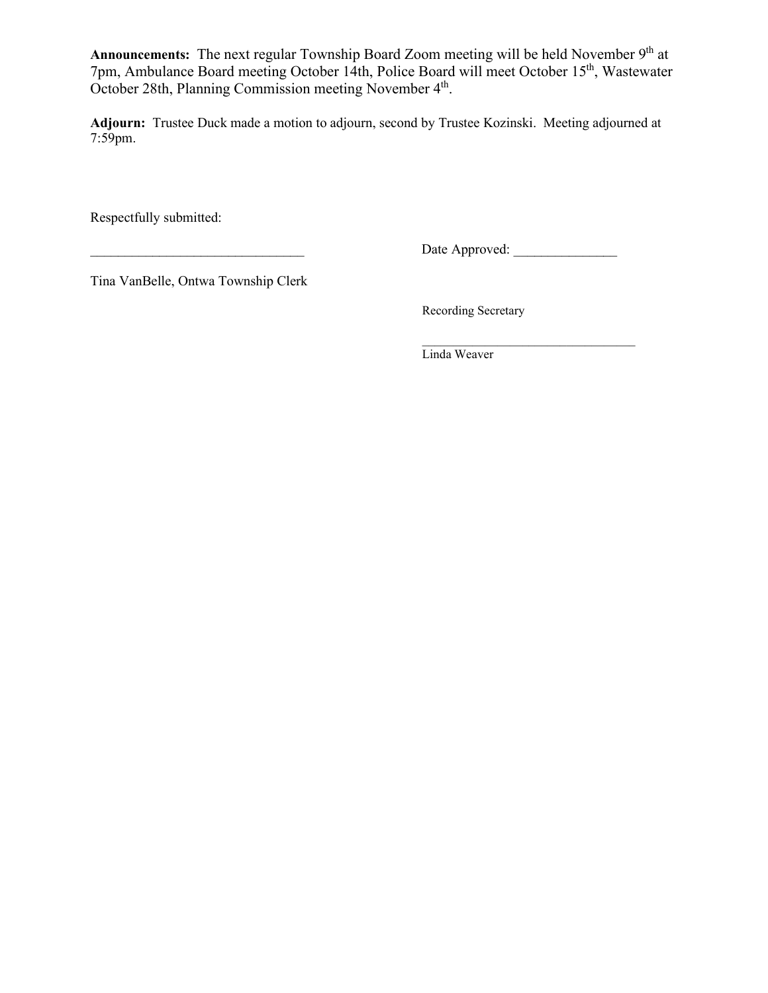Announcements: The next regular Township Board Zoom meeting will be held November 9<sup>th</sup> at 7pm, Ambulance Board meeting October 14th, Police Board will meet October 15th, Wastewater October 28th, Planning Commission meeting November 4<sup>th</sup>.

**Adjourn:** Trustee Duck made a motion to adjourn, second by Trustee Kozinski. Meeting adjourned at 7:59pm.

Respectfully submitted:

\_\_\_\_\_\_\_\_\_\_\_\_\_\_\_\_\_\_\_\_\_\_\_\_\_\_\_\_\_\_\_ Date Approved: \_\_\_\_\_\_\_\_\_\_\_\_\_\_\_

Tina VanBelle, Ontwa Township Clerk

Recording Secretary

 $\mathcal{L}_\text{max}$  , and the set of the set of the set of the set of the set of the set of the set of the set of the set of the set of the set of the set of the set of the set of the set of the set of the set of the set of the Linda Weaver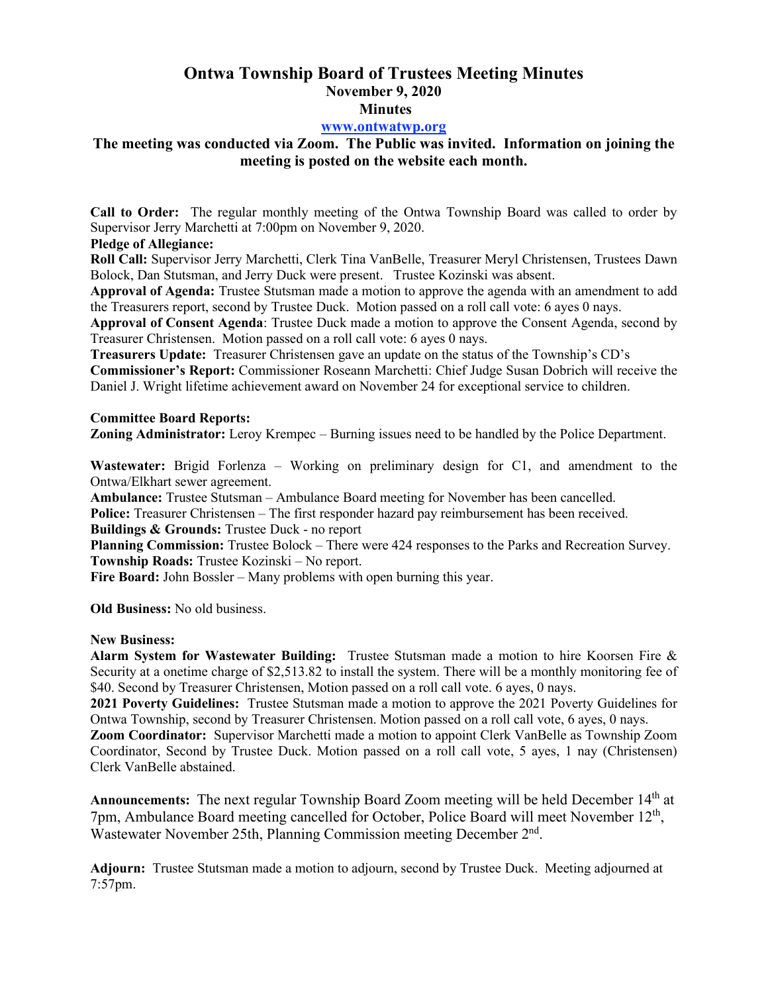# **Ontwa Township Board of Trustees Meeting Minutes November 9, 2020 Minutes**

### **www.ontwatwp.org**

# **The meeting was conducted via Zoom. The Public was invited. Information on joining the meeting is posted on the website each month.**

**Call to Order:** The regular monthly meeting of the Ontwa Township Board was called to order by Supervisor Jerry Marchetti at 7:00pm on November 9, 2020.

### **Pledge of Allegiance:**

**Roll Call:** Supervisor Jerry Marchetti, Clerk Tina VanBelle, Treasurer Meryl Christensen, Trustees Dawn Bolock, Dan Stutsman, and Jerry Duck were present. Trustee Kozinski was absent.

**Approval of Agenda:** Trustee Stutsman made a motion to approve the agenda with an amendment to add the Treasurers report, second by Trustee Duck. Motion passed on a roll call vote: 6 ayes 0 nays.

**Approval of Consent Agenda**: Trustee Duck made a motion to approve the Consent Agenda, second by Treasurer Christensen. Motion passed on a roll call vote: 6 ayes 0 nays.

**Treasurers Update:** Treasurer Christensen gave an update on the status of the Township's CD's **Commissioner's Report:** Commissioner Roseann Marchetti: Chief Judge Susan Dobrich will receive the Daniel J. Wright lifetime achievement award on November 24 for exceptional service to children.

#### **Committee Board Reports:**

**Zoning Administrator:** Leroy Krempec – Burning issues need to be handled by the Police Department.

**Wastewater:** Brigid Forlenza – Working on preliminary design for C1, and amendment to the Ontwa/Elkhart sewer agreement.

**Ambulance:** Trustee Stutsman – Ambulance Board meeting for November has been cancelled.

**Police:** Treasurer Christensen – The first responder hazard pay reimbursement has been received.

**Buildings & Grounds:** Trustee Duck - no report

**Planning Commission:** Trustee Bolock – There were 424 responses to the Parks and Recreation Survey. **Township Roads:** Trustee Kozinski – No report.

**Fire Board:** John Bossler – Many problems with open burning this year.

**Old Business:** No old business.

### **New Business:**

**Alarm System for Wastewater Building:** Trustee Stutsman made a motion to hire Koorsen Fire & Security at a onetime charge of \$2,513.82 to install the system. There will be a monthly monitoring fee of \$40. Second by Treasurer Christensen, Motion passed on a roll call vote. 6 ayes, 0 nays.

**2021 Poverty Guidelines:** Trustee Stutsman made a motion to approve the 2021 Poverty Guidelines for Ontwa Township, second by Treasurer Christensen. Motion passed on a roll call vote, 6 ayes, 0 nays.

**Zoom Coordinator:** Supervisor Marchetti made a motion to appoint Clerk VanBelle as Township Zoom Coordinator, Second by Trustee Duck. Motion passed on a roll call vote, 5 ayes, 1 nay (Christensen) Clerk VanBelle abstained.

**Announcements:** The next regular Township Board Zoom meeting will be held December 14th at 7pm, Ambulance Board meeting cancelled for October, Police Board will meet November  $12<sup>th</sup>$ , Wastewater November 25th, Planning Commission meeting December 2<sup>nd</sup>.

**Adjourn:** Trustee Stutsman made a motion to adjourn, second by Trustee Duck. Meeting adjourned at 7:57pm.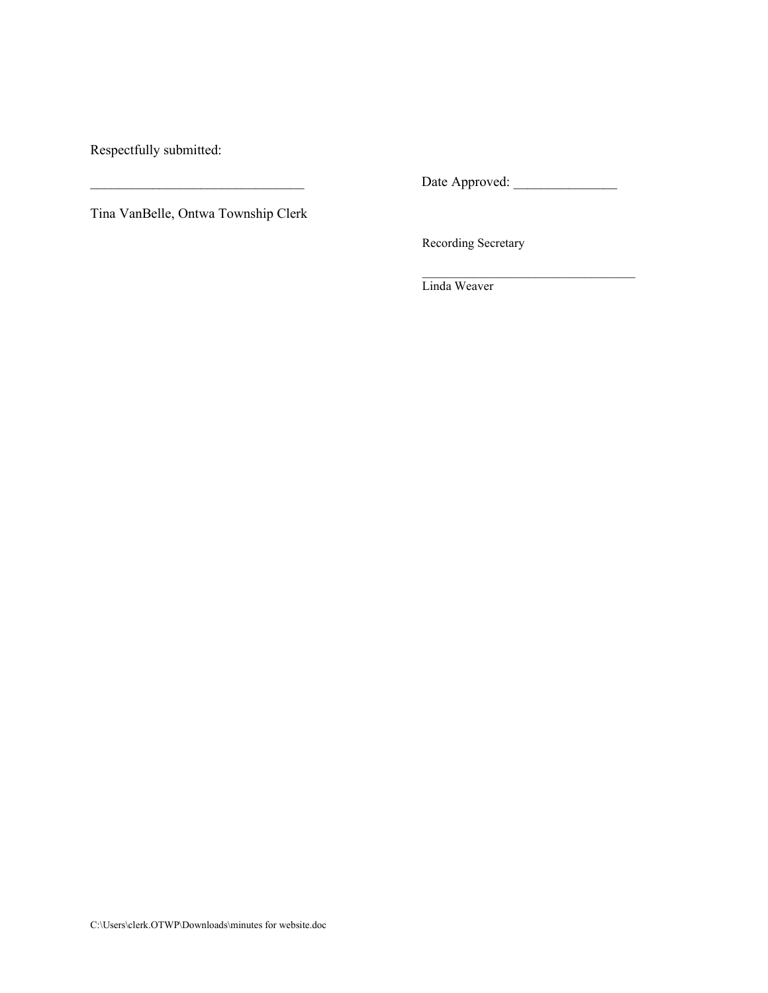Respectfully submitted:

\_\_\_\_\_\_\_\_\_\_\_\_\_\_\_\_\_\_\_\_\_\_\_\_\_\_\_\_\_\_\_ Date Approved: \_\_\_\_\_\_\_\_\_\_\_\_\_\_\_

 $\mathcal{L}_\text{max}$  , and the set of the set of the set of the set of the set of the set of the set of the set of the set of the set of the set of the set of the set of the set of the set of the set of the set of the set of the

Tina VanBelle, Ontwa Township Clerk

Recording Secretary

Linda Weaver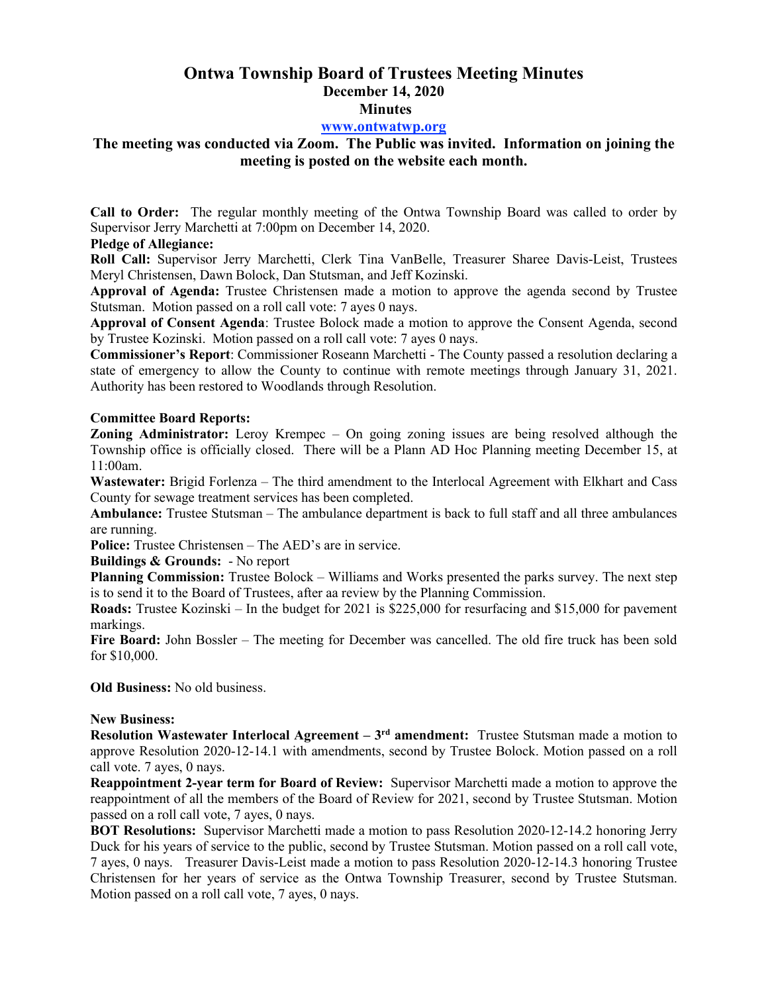# **Ontwa Township Board of Trustees Meeting Minutes December 14, 2020 Minutes**

### **www.ontwatwp.org**

## **The meeting was conducted via Zoom. The Public was invited. Information on joining the meeting is posted on the website each month.**

**Call to Order:** The regular monthly meeting of the Ontwa Township Board was called to order by Supervisor Jerry Marchetti at 7:00pm on December 14, 2020.

### **Pledge of Allegiance:**

**Roll Call:** Supervisor Jerry Marchetti, Clerk Tina VanBelle, Treasurer Sharee Davis-Leist, Trustees Meryl Christensen, Dawn Bolock, Dan Stutsman, and Jeff Kozinski.

**Approval of Agenda:** Trustee Christensen made a motion to approve the agenda second by Trustee Stutsman. Motion passed on a roll call vote: 7 ayes 0 nays.

**Approval of Consent Agenda**: Trustee Bolock made a motion to approve the Consent Agenda, second by Trustee Kozinski. Motion passed on a roll call vote: 7 ayes 0 nays.

**Commissioner's Report**: Commissioner Roseann Marchetti - The County passed a resolution declaring a state of emergency to allow the County to continue with remote meetings through January 31, 2021. Authority has been restored to Woodlands through Resolution.

### **Committee Board Reports:**

**Zoning Administrator:** Leroy Krempec – On going zoning issues are being resolved although the Township office is officially closed. There will be a Plann AD Hoc Planning meeting December 15, at 11:00am.

Wastewater: Brigid Forlenza – The third amendment to the Interlocal Agreement with Elkhart and Cass County for sewage treatment services has been completed.

**Ambulance:** Trustee Stutsman – The ambulance department is back to full staff and all three ambulances are running.

**Police:** Trustee Christensen – The AED's are in service.

**Buildings & Grounds:** - No report

**Planning Commission:** Trustee Bolock – Williams and Works presented the parks survey. The next step is to send it to the Board of Trustees, after aa review by the Planning Commission.

**Roads:** Trustee Kozinski – In the budget for 2021 is \$225,000 for resurfacing and \$15,000 for pavement markings.

**Fire Board:** John Bossler – The meeting for December was cancelled. The old fire truck has been sold for \$10,000.

**Old Business:** No old business.

#### **New Business:**

**Resolution Wastewater Interlocal Agreement – 3<sup>rd</sup> amendment: Trustee Stutsman made a motion to** approve Resolution 2020-12-14.1 with amendments, second by Trustee Bolock. Motion passed on a roll call vote. 7 ayes, 0 nays.

**Reappointment 2-year term for Board of Review:** Supervisor Marchetti made a motion to approve the reappointment of all the members of the Board of Review for 2021, second by Trustee Stutsman. Motion passed on a roll call vote, 7 ayes, 0 nays.

**BOT Resolutions:** Supervisor Marchetti made a motion to pass Resolution 2020-12-14.2 honoring Jerry Duck for his years of service to the public, second by Trustee Stutsman. Motion passed on a roll call vote, 7 ayes, 0 nays. Treasurer Davis-Leist made a motion to pass Resolution 2020-12-14.3 honoring Trustee Christensen for her years of service as the Ontwa Township Treasurer, second by Trustee Stutsman. Motion passed on a roll call vote, 7 ayes, 0 nays.